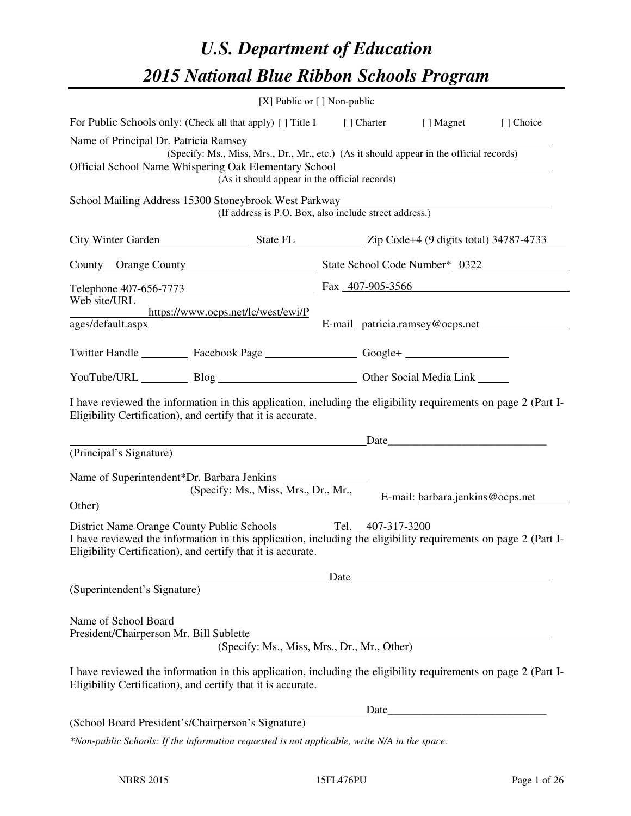# *U.S. Department of Education 2015 National Blue Ribbon Schools Program*

|                                                                                                                                                              | [X] Public or [] Non-public                                                                                                                                   |  |  |  |  |
|--------------------------------------------------------------------------------------------------------------------------------------------------------------|---------------------------------------------------------------------------------------------------------------------------------------------------------------|--|--|--|--|
| For Public Schools only: (Check all that apply) [] Title I [] Charter [] Magnet                                                                              | [] Choice                                                                                                                                                     |  |  |  |  |
| Name of Principal Dr. Patricia Ramsey<br>Official School Name Whispering Oak Elementary School                                                               | (Specify: Ms., Miss, Mrs., Dr., Mr., etc.) (As it should appear in the official records)<br>(As it should appear in the official records)                     |  |  |  |  |
| School Mailing Address 15300 Stoneybrook West Parkway                                                                                                        | (If address is P.O. Box, also include street address.)                                                                                                        |  |  |  |  |
|                                                                                                                                                              | City Winter Garden State FL Zip Code+4 (9 digits total) 34787-4733                                                                                            |  |  |  |  |
|                                                                                                                                                              | County Orange County State School Code Number* 0322                                                                                                           |  |  |  |  |
|                                                                                                                                                              | Telephone 407-656-7773 Fax 407-905-3566                                                                                                                       |  |  |  |  |
| Web site/URL<br>https://www.ocps.net/lc/west/ewi/P<br>ages/default.aspx                                                                                      | E-mail patricia.ramsey@ocps.net                                                                                                                               |  |  |  |  |
| Twitter Handle ___________ Facebook Page ___________________ Google+ ____________                                                                            |                                                                                                                                                               |  |  |  |  |
| YouTube/URL Blog Blog Discount Cher Social Media Link                                                                                                        |                                                                                                                                                               |  |  |  |  |
| Eligibility Certification), and certify that it is accurate.                                                                                                 | I have reviewed the information in this application, including the eligibility requirements on page 2 (Part I-                                                |  |  |  |  |
| (Principal's Signature)                                                                                                                                      | Date                                                                                                                                                          |  |  |  |  |
| Name of Superintendent*Dr. Barbara Jenkins<br>(Specify: Ms., Miss, Mrs., Dr., Mr.,<br>Other)<br>District Name Orange County Public Schools Tel. 407-317-3200 | E-mail: barbara.jenkins@ocps.net                                                                                                                              |  |  |  |  |
| Eligibility Certification), and certify that it is accurate.                                                                                                 | I have reviewed the information in this application, including the eligibility requirements on page 2 (Part I-                                                |  |  |  |  |
| Date                                                                                                                                                         |                                                                                                                                                               |  |  |  |  |
| (Superintendent's Signature)<br>Name of School Board<br>President/Chairperson Mr. Bill Sublette                                                              | (Specify: Ms., Miss, Mrs., Dr., Mr., Other)<br>I have reviewed the information in this application, including the eligibility requirements on page 2 (Part I- |  |  |  |  |
| Eligibility Certification), and certify that it is accurate.                                                                                                 |                                                                                                                                                               |  |  |  |  |
| (School Board President's/Chairperson's Signature)                                                                                                           | <u> 1980 - Johann Barn, mars ar breithinn ar breithinn ar breithinn ar breithinn ar breithinn ar breithinn ar br</u><br>Date_                                 |  |  |  |  |
| *Non-public Schools: If the information requested is not applicable, write N/A in the space.                                                                 |                                                                                                                                                               |  |  |  |  |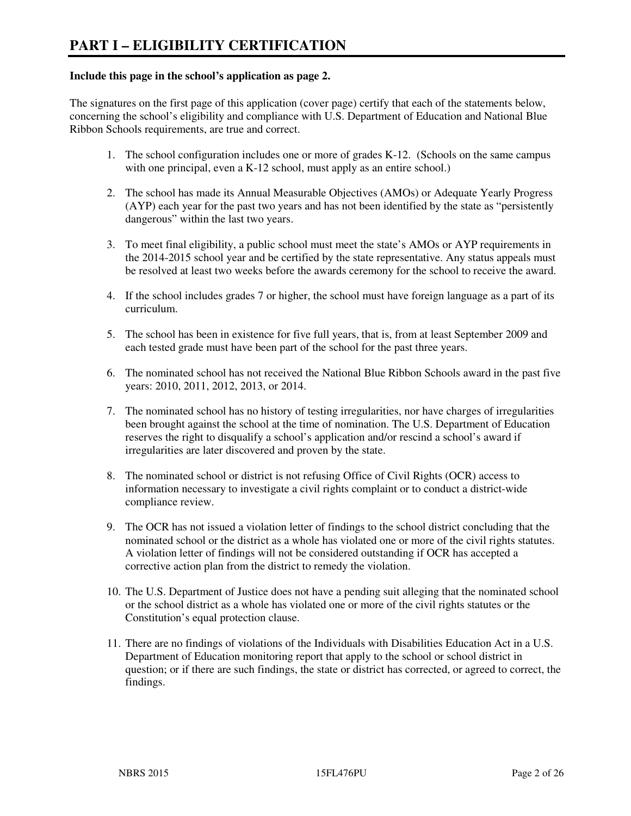#### **Include this page in the school's application as page 2.**

The signatures on the first page of this application (cover page) certify that each of the statements below, concerning the school's eligibility and compliance with U.S. Department of Education and National Blue Ribbon Schools requirements, are true and correct.

- 1. The school configuration includes one or more of grades K-12. (Schools on the same campus with one principal, even a K-12 school, must apply as an entire school.)
- 2. The school has made its Annual Measurable Objectives (AMOs) or Adequate Yearly Progress (AYP) each year for the past two years and has not been identified by the state as "persistently dangerous" within the last two years.
- 3. To meet final eligibility, a public school must meet the state's AMOs or AYP requirements in the 2014-2015 school year and be certified by the state representative. Any status appeals must be resolved at least two weeks before the awards ceremony for the school to receive the award.
- 4. If the school includes grades 7 or higher, the school must have foreign language as a part of its curriculum.
- 5. The school has been in existence for five full years, that is, from at least September 2009 and each tested grade must have been part of the school for the past three years.
- 6. The nominated school has not received the National Blue Ribbon Schools award in the past five years: 2010, 2011, 2012, 2013, or 2014.
- 7. The nominated school has no history of testing irregularities, nor have charges of irregularities been brought against the school at the time of nomination. The U.S. Department of Education reserves the right to disqualify a school's application and/or rescind a school's award if irregularities are later discovered and proven by the state.
- 8. The nominated school or district is not refusing Office of Civil Rights (OCR) access to information necessary to investigate a civil rights complaint or to conduct a district-wide compliance review.
- 9. The OCR has not issued a violation letter of findings to the school district concluding that the nominated school or the district as a whole has violated one or more of the civil rights statutes. A violation letter of findings will not be considered outstanding if OCR has accepted a corrective action plan from the district to remedy the violation.
- 10. The U.S. Department of Justice does not have a pending suit alleging that the nominated school or the school district as a whole has violated one or more of the civil rights statutes or the Constitution's equal protection clause.
- 11. There are no findings of violations of the Individuals with Disabilities Education Act in a U.S. Department of Education monitoring report that apply to the school or school district in question; or if there are such findings, the state or district has corrected, or agreed to correct, the findings.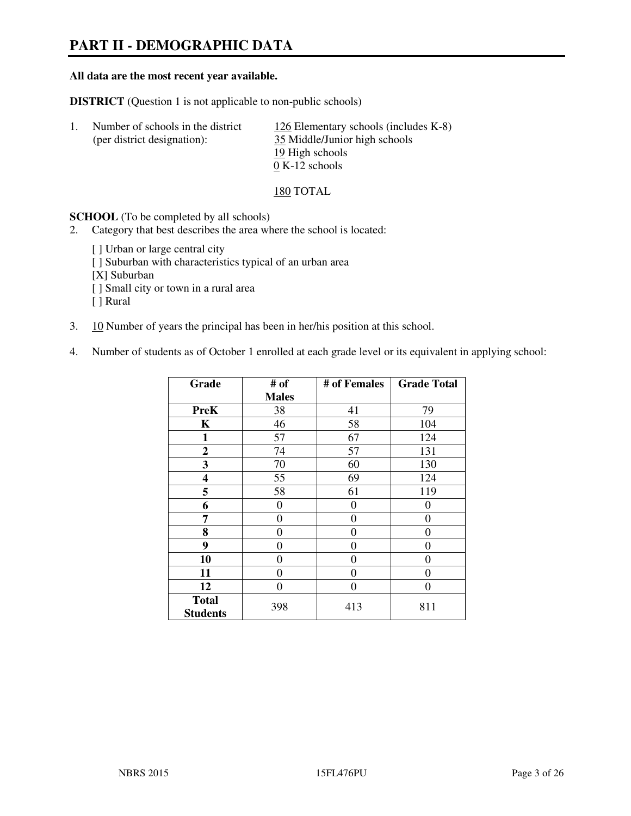# **PART II - DEMOGRAPHIC DATA**

#### **All data are the most recent year available.**

**DISTRICT** (Question 1 is not applicable to non-public schools)

| Number of schools in the district | 126 Elementary schools (includes K-8) |
|-----------------------------------|---------------------------------------|
| (per district designation):       | 35 Middle/Junior high schools         |
|                                   | 19 High schools                       |
|                                   | $0 K-12$ schools                      |

#### 180 TOTAL

**SCHOOL** (To be completed by all schools)

- 2. Category that best describes the area where the school is located:
	- [ ] Urban or large central city
	- [ ] Suburban with characteristics typical of an urban area
	- [X] Suburban
	- [ ] Small city or town in a rural area
	- [ ] Rural
- 3. 10 Number of years the principal has been in her/his position at this school.
- 4. Number of students as of October 1 enrolled at each grade level or its equivalent in applying school:

| Grade                           | # of         | # of Females | <b>Grade Total</b> |
|---------------------------------|--------------|--------------|--------------------|
|                                 | <b>Males</b> |              |                    |
| <b>PreK</b>                     | 38           | 41           | 79                 |
| K                               | 46           | 58           | 104                |
| 1                               | 57           | 67           | 124                |
| $\mathbf{2}$                    | 74           | 57           | 131                |
| 3                               | 70           | 60           | 130                |
| 4                               | 55           | 69           | 124                |
| 5                               | 58           | 61           | 119                |
| 6                               | 0            | 0            | $\theta$           |
| 7                               | 0            | $\theta$     | 0                  |
| 8                               | $\theta$     | $\theta$     | 0                  |
| 9                               | $\theta$     | $\theta$     | 0                  |
| 10                              | 0            | 0            | 0                  |
| 11                              | 0            | 0            | 0                  |
| 12                              | 0            | 0            | 0                  |
| <b>Total</b><br><b>Students</b> | 398          | 413          | 811                |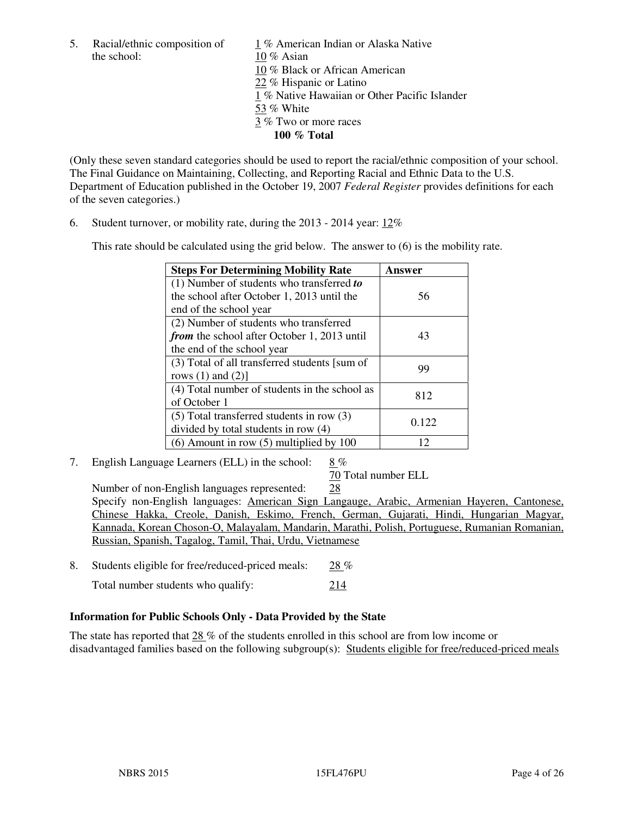the school: 10 % Asian

5. Racial/ethnic composition of 1 % American Indian or Alaska Native 10 % Black or African American 22 % Hispanic or Latino 1 % Native Hawaiian or Other Pacific Islander 53 % White 3 % Two or more races **100 % Total** 

(Only these seven standard categories should be used to report the racial/ethnic composition of your school. The Final Guidance on Maintaining, Collecting, and Reporting Racial and Ethnic Data to the U.S. Department of Education published in the October 19, 2007 *Federal Register* provides definitions for each of the seven categories.)

6. Student turnover, or mobility rate, during the 2013 - 2014 year: 12%

This rate should be calculated using the grid below. The answer to (6) is the mobility rate.

| <b>Steps For Determining Mobility Rate</b>         | Answer |
|----------------------------------------------------|--------|
| $(1)$ Number of students who transferred to        |        |
| the school after October 1, 2013 until the         | 56     |
| end of the school year                             |        |
| (2) Number of students who transferred             |        |
| <i>from</i> the school after October 1, 2013 until | 43     |
| the end of the school year                         |        |
| (3) Total of all transferred students [sum of      | 99     |
| rows $(1)$ and $(2)$ ]                             |        |
| (4) Total number of students in the school as      | 812    |
| of October 1                                       |        |
| $(5)$ Total transferred students in row $(3)$      | 0.122  |
| divided by total students in row (4)               |        |
| $(6)$ Amount in row $(5)$ multiplied by 100        | 12     |

7. English Language Learners (ELL) in the school: 8 %

70 Total number ELL

 Number of non-English languages represented: 28 Specify non-English languages: American Sign Langauge, Arabic, Armenian Hayeren, Cantonese, Chinese Hakka, Creole, Danish, Eskimo, French, German, Gujarati, Hindi, Hungarian Magyar, Kannada, Korean Choson-O, Malayalam, Mandarin, Marathi, Polish, Portuguese, Rumanian Romanian, Russian, Spanish, Tagalog, Tamil, Thai, Urdu, Vietnamese

8. Students eligible for free/reduced-priced meals:  $28\%$ Total number students who qualify: 214

#### **Information for Public Schools Only - Data Provided by the State**

The state has reported that 28 % of the students enrolled in this school are from low income or disadvantaged families based on the following subgroup(s): Students eligible for free/reduced-priced meals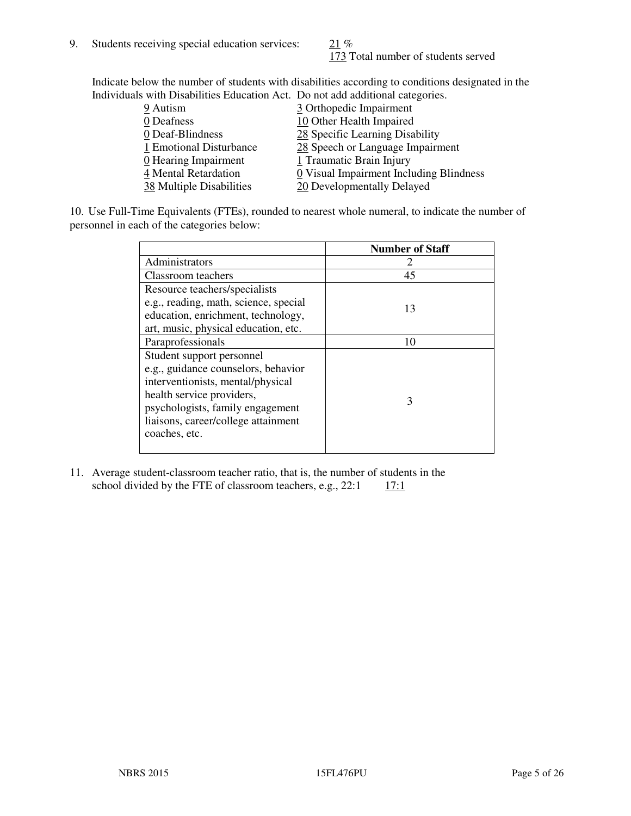173 Total number of students served

Indicate below the number of students with disabilities according to conditions designated in the Individuals with Disabilities Education Act. Do not add additional categories.

| <u>marritano with Disachitity Buatanon ritti Do not auu auunchai talegorito.</u> |                                         |
|----------------------------------------------------------------------------------|-----------------------------------------|
| 9 Autism                                                                         | 3 Orthopedic Impairment                 |
| 0 Deafness                                                                       | 10 Other Health Impaired                |
| 0 Deaf-Blindness                                                                 | 28 Specific Learning Disability         |
| 1 Emotional Disturbance                                                          | 28 Speech or Language Impairment        |
| 0 Hearing Impairment                                                             | 1 Traumatic Brain Injury                |
| 4 Mental Retardation                                                             | 0 Visual Impairment Including Blindness |
| 38 Multiple Disabilities                                                         | 20 Developmentally Delayed              |
|                                                                                  |                                         |

10. Use Full-Time Equivalents (FTEs), rounded to nearest whole numeral, to indicate the number of personnel in each of the categories below:

|                                       | <b>Number of Staff</b> |
|---------------------------------------|------------------------|
| Administrators                        |                        |
| Classroom teachers                    | 45                     |
| Resource teachers/specialists         |                        |
| e.g., reading, math, science, special | 13                     |
| education, enrichment, technology,    |                        |
| art, music, physical education, etc.  |                        |
| Paraprofessionals                     | 10                     |
| Student support personnel             |                        |
| e.g., guidance counselors, behavior   |                        |
| interventionists, mental/physical     |                        |
| health service providers,             | 3                      |
| psychologists, family engagement      |                        |
| liaisons, career/college attainment   |                        |
| coaches, etc.                         |                        |
|                                       |                        |

11. Average student-classroom teacher ratio, that is, the number of students in the school divided by the FTE of classroom teachers, e.g.,  $22:1 \quad 17:1$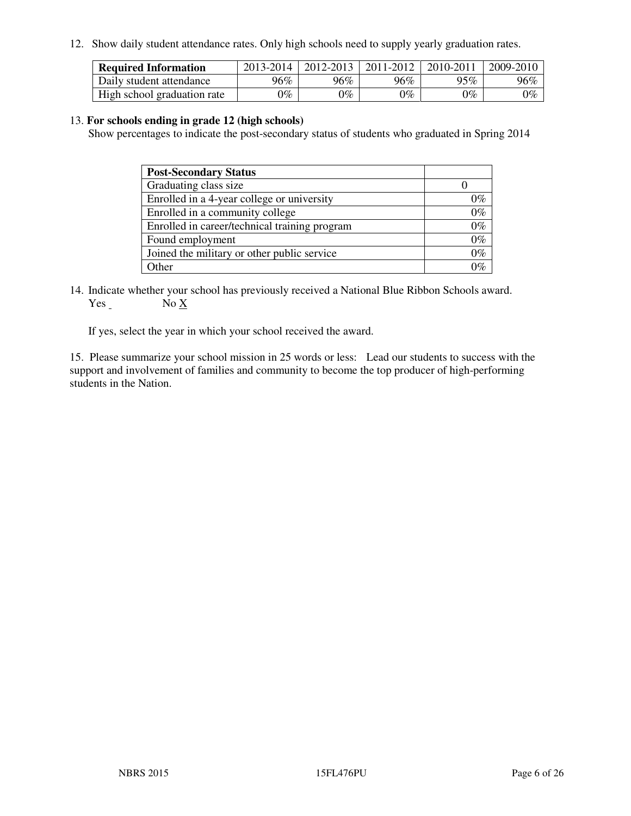12. Show daily student attendance rates. Only high schools need to supply yearly graduation rates.

| <b>Required Information</b> | 2013-2014     | 2012-2013       | 2011-2012 | 2010-2011 | 2009-2010 |
|-----------------------------|---------------|-----------------|-----------|-----------|-----------|
| Daily student attendance    | 96%           | $96\%$          | 96%       | 95%       | 96%       |
| High school graduation rate | $\gamma_{\%}$ | $\mathcal{V}_o$ | $0\%$     | 0%        | 0%        |

#### 13. **For schools ending in grade 12 (high schools)**

Show percentages to indicate the post-secondary status of students who graduated in Spring 2014

| <b>Post-Secondary Status</b>                  |       |
|-----------------------------------------------|-------|
| Graduating class size                         |       |
| Enrolled in a 4-year college or university    | በ‰    |
| Enrolled in a community college               | $0\%$ |
| Enrolled in career/technical training program | $0\%$ |
| Found employment                              | $0\%$ |
| Joined the military or other public service   | 0%    |
| Other                                         |       |

14. Indicate whether your school has previously received a National Blue Ribbon Schools award. Yes No X

If yes, select the year in which your school received the award.

15. Please summarize your school mission in 25 words or less: Lead our students to success with the support and involvement of families and community to become the top producer of high-performing students in the Nation.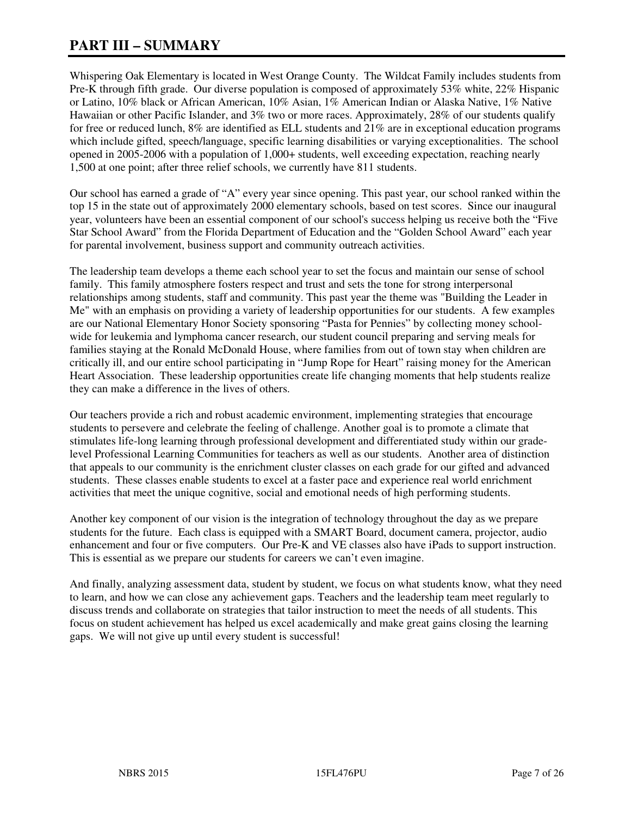# **PART III – SUMMARY**

Whispering Oak Elementary is located in West Orange County. The Wildcat Family includes students from Pre-K through fifth grade. Our diverse population is composed of approximately 53% white, 22% Hispanic or Latino, 10% black or African American, 10% Asian, 1% American Indian or Alaska Native, 1% Native Hawaiian or other Pacific Islander, and 3% two or more races. Approximately, 28% of our students qualify for free or reduced lunch, 8% are identified as ELL students and 21% are in exceptional education programs which include gifted, speech/language, specific learning disabilities or varying exceptionalities. The school opened in 2005-2006 with a population of 1,000+ students, well exceeding expectation, reaching nearly 1,500 at one point; after three relief schools, we currently have 811 students.

Our school has earned a grade of "A" every year since opening. This past year, our school ranked within the top 15 in the state out of approximately 2000 elementary schools, based on test scores. Since our inaugural year, volunteers have been an essential component of our school's success helping us receive both the "Five Star School Award" from the Florida Department of Education and the "Golden School Award" each year for parental involvement, business support and community outreach activities.

The leadership team develops a theme each school year to set the focus and maintain our sense of school family. This family atmosphere fosters respect and trust and sets the tone for strong interpersonal relationships among students, staff and community. This past year the theme was "Building the Leader in Me" with an emphasis on providing a variety of leadership opportunities for our students. A few examples are our National Elementary Honor Society sponsoring "Pasta for Pennies" by collecting money schoolwide for leukemia and lymphoma cancer research, our student council preparing and serving meals for families staying at the Ronald McDonald House, where families from out of town stay when children are critically ill, and our entire school participating in "Jump Rope for Heart" raising money for the American Heart Association. These leadership opportunities create life changing moments that help students realize they can make a difference in the lives of others.

Our teachers provide a rich and robust academic environment, implementing strategies that encourage students to persevere and celebrate the feeling of challenge. Another goal is to promote a climate that stimulates life-long learning through professional development and differentiated study within our gradelevel Professional Learning Communities for teachers as well as our students. Another area of distinction that appeals to our community is the enrichment cluster classes on each grade for our gifted and advanced students. These classes enable students to excel at a faster pace and experience real world enrichment activities that meet the unique cognitive, social and emotional needs of high performing students.

Another key component of our vision is the integration of technology throughout the day as we prepare students for the future. Each class is equipped with a SMART Board, document camera, projector, audio enhancement and four or five computers. Our Pre-K and VE classes also have iPads to support instruction. This is essential as we prepare our students for careers we can't even imagine.

And finally, analyzing assessment data, student by student, we focus on what students know, what they need to learn, and how we can close any achievement gaps. Teachers and the leadership team meet regularly to discuss trends and collaborate on strategies that tailor instruction to meet the needs of all students. This focus on student achievement has helped us excel academically and make great gains closing the learning gaps. We will not give up until every student is successful!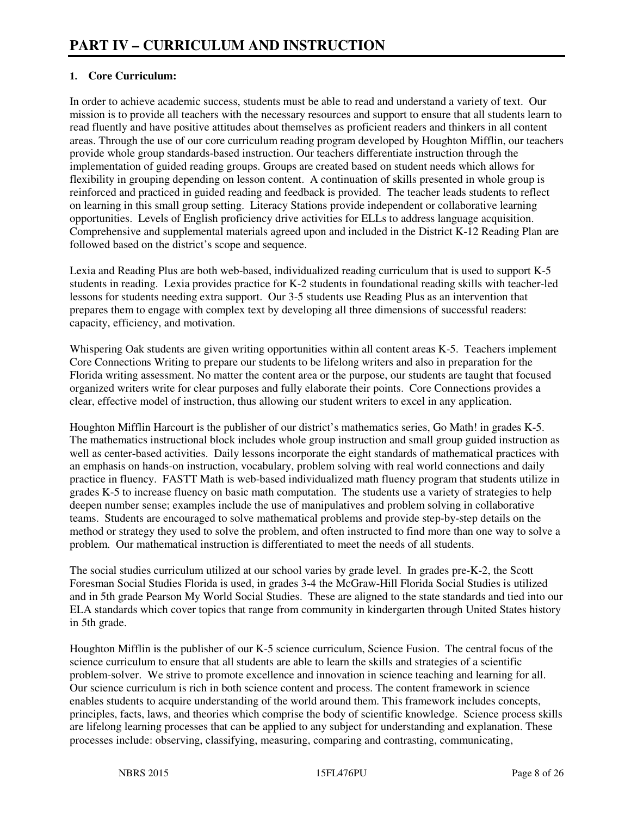## **1. Core Curriculum:**

In order to achieve academic success, students must be able to read and understand a variety of text. Our mission is to provide all teachers with the necessary resources and support to ensure that all students learn to read fluently and have positive attitudes about themselves as proficient readers and thinkers in all content areas. Through the use of our core curriculum reading program developed by Houghton Mifflin, our teachers provide whole group standards-based instruction. Our teachers differentiate instruction through the implementation of guided reading groups. Groups are created based on student needs which allows for flexibility in grouping depending on lesson content. A continuation of skills presented in whole group is reinforced and practiced in guided reading and feedback is provided. The teacher leads students to reflect on learning in this small group setting. Literacy Stations provide independent or collaborative learning opportunities. Levels of English proficiency drive activities for ELLs to address language acquisition. Comprehensive and supplemental materials agreed upon and included in the District K-12 Reading Plan are followed based on the district's scope and sequence.

Lexia and Reading Plus are both web-based, individualized reading curriculum that is used to support K-5 students in reading. Lexia provides practice for K-2 students in foundational reading skills with teacher-led lessons for students needing extra support. Our 3-5 students use Reading Plus as an intervention that prepares them to engage with complex text by developing all three dimensions of successful readers: capacity, efficiency, and motivation.

Whispering Oak students are given writing opportunities within all content areas K-5. Teachers implement Core Connections Writing to prepare our students to be lifelong writers and also in preparation for the Florida writing assessment. No matter the content area or the purpose, our students are taught that focused organized writers write for clear purposes and fully elaborate their points. Core Connections provides a clear, effective model of instruction, thus allowing our student writers to excel in any application.

Houghton Mifflin Harcourt is the publisher of our district's mathematics series, Go Math! in grades K-5. The mathematics instructional block includes whole group instruction and small group guided instruction as well as center-based activities. Daily lessons incorporate the eight standards of mathematical practices with an emphasis on hands-on instruction, vocabulary, problem solving with real world connections and daily practice in fluency. FASTT Math is web-based individualized math fluency program that students utilize in grades K-5 to increase fluency on basic math computation. The students use a variety of strategies to help deepen number sense; examples include the use of manipulatives and problem solving in collaborative teams. Students are encouraged to solve mathematical problems and provide step-by-step details on the method or strategy they used to solve the problem, and often instructed to find more than one way to solve a problem. Our mathematical instruction is differentiated to meet the needs of all students.

The social studies curriculum utilized at our school varies by grade level. In grades pre-K-2, the Scott Foresman Social Studies Florida is used, in grades 3-4 the McGraw-Hill Florida Social Studies is utilized and in 5th grade Pearson My World Social Studies. These are aligned to the state standards and tied into our ELA standards which cover topics that range from community in kindergarten through United States history in 5th grade.

Houghton Mifflin is the publisher of our K-5 science curriculum, Science Fusion. The central focus of the science curriculum to ensure that all students are able to learn the skills and strategies of a scientific problem-solver. We strive to promote excellence and innovation in science teaching and learning for all. Our science curriculum is rich in both science content and process. The content framework in science enables students to acquire understanding of the world around them. This framework includes concepts, principles, facts, laws, and theories which comprise the body of scientific knowledge. Science process skills are lifelong learning processes that can be applied to any subject for understanding and explanation. These processes include: observing, classifying, measuring, comparing and contrasting, communicating,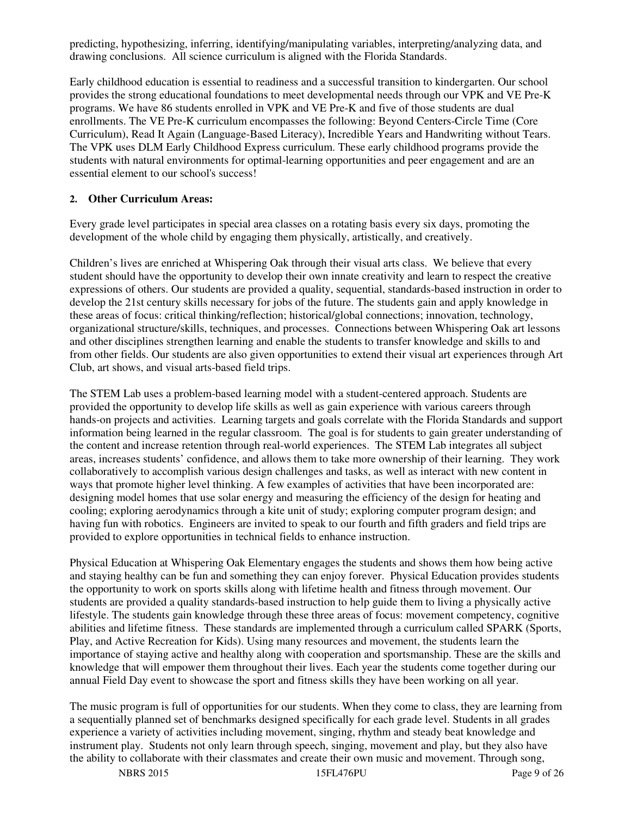predicting, hypothesizing, inferring, identifying/manipulating variables, interpreting/analyzing data, and drawing conclusions. All science curriculum is aligned with the Florida Standards.

Early childhood education is essential to readiness and a successful transition to kindergarten. Our school provides the strong educational foundations to meet developmental needs through our VPK and VE Pre-K programs. We have 86 students enrolled in VPK and VE Pre-K and five of those students are dual enrollments. The VE Pre-K curriculum encompasses the following: Beyond Centers-Circle Time (Core Curriculum), Read It Again (Language-Based Literacy), Incredible Years and Handwriting without Tears. The VPK uses DLM Early Childhood Express curriculum. These early childhood programs provide the students with natural environments for optimal-learning opportunities and peer engagement and are an essential element to our school's success!

## **2. Other Curriculum Areas:**

Every grade level participates in special area classes on a rotating basis every six days, promoting the development of the whole child by engaging them physically, artistically, and creatively.

Children's lives are enriched at Whispering Oak through their visual arts class. We believe that every student should have the opportunity to develop their own innate creativity and learn to respect the creative expressions of others. Our students are provided a quality, sequential, standards-based instruction in order to develop the 21st century skills necessary for jobs of the future. The students gain and apply knowledge in these areas of focus: critical thinking/reflection; historical/global connections; innovation, technology, organizational structure/skills, techniques, and processes. Connections between Whispering Oak art lessons and other disciplines strengthen learning and enable the students to transfer knowledge and skills to and from other fields. Our students are also given opportunities to extend their visual art experiences through Art Club, art shows, and visual arts-based field trips.

The STEM Lab uses a problem-based learning model with a student-centered approach. Students are provided the opportunity to develop life skills as well as gain experience with various careers through hands-on projects and activities. Learning targets and goals correlate with the Florida Standards and support information being learned in the regular classroom. The goal is for students to gain greater understanding of the content and increase retention through real-world experiences. The STEM Lab integrates all subject areas, increases students' confidence, and allows them to take more ownership of their learning. They work collaboratively to accomplish various design challenges and tasks, as well as interact with new content in ways that promote higher level thinking. A few examples of activities that have been incorporated are: designing model homes that use solar energy and measuring the efficiency of the design for heating and cooling; exploring aerodynamics through a kite unit of study; exploring computer program design; and having fun with robotics. Engineers are invited to speak to our fourth and fifth graders and field trips are provided to explore opportunities in technical fields to enhance instruction.

Physical Education at Whispering Oak Elementary engages the students and shows them how being active and staying healthy can be fun and something they can enjoy forever. Physical Education provides students the opportunity to work on sports skills along with lifetime health and fitness through movement. Our students are provided a quality standards-based instruction to help guide them to living a physically active lifestyle. The students gain knowledge through these three areas of focus: movement competency, cognitive abilities and lifetime fitness. These standards are implemented through a curriculum called SPARK (Sports, Play, and Active Recreation for Kids). Using many resources and movement, the students learn the importance of staying active and healthy along with cooperation and sportsmanship. These are the skills and knowledge that will empower them throughout their lives. Each year the students come together during our annual Field Day event to showcase the sport and fitness skills they have been working on all year.

The music program is full of opportunities for our students. When they come to class, they are learning from a sequentially planned set of benchmarks designed specifically for each grade level. Students in all grades experience a variety of activities including movement, singing, rhythm and steady beat knowledge and instrument play. Students not only learn through speech, singing, movement and play, but they also have the ability to collaborate with their classmates and create their own music and movement. Through song,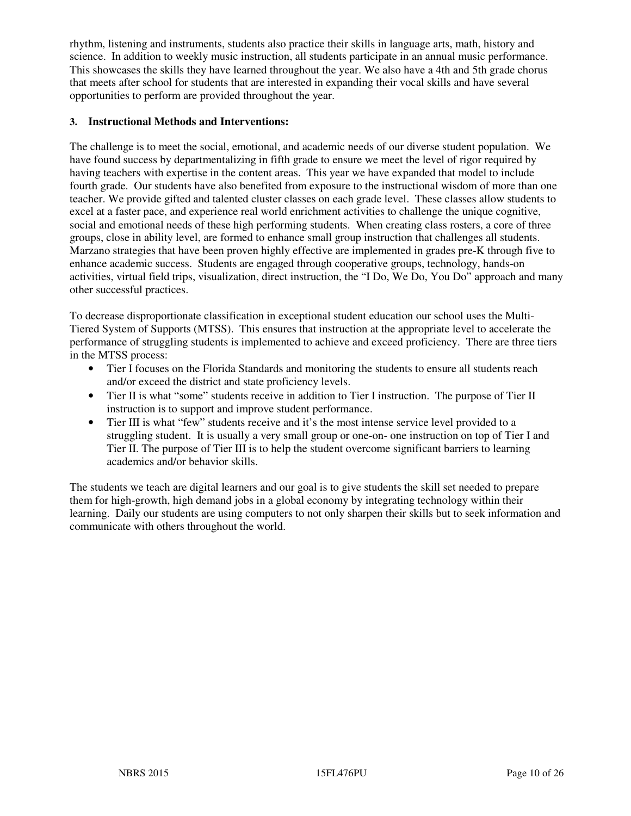rhythm, listening and instruments, students also practice their skills in language arts, math, history and science. In addition to weekly music instruction, all students participate in an annual music performance. This showcases the skills they have learned throughout the year. We also have a 4th and 5th grade chorus that meets after school for students that are interested in expanding their vocal skills and have several opportunities to perform are provided throughout the year.

#### **3. Instructional Methods and Interventions:**

The challenge is to meet the social, emotional, and academic needs of our diverse student population. We have found success by departmentalizing in fifth grade to ensure we meet the level of rigor required by having teachers with expertise in the content areas. This year we have expanded that model to include fourth grade. Our students have also benefited from exposure to the instructional wisdom of more than one teacher. We provide gifted and talented cluster classes on each grade level. These classes allow students to excel at a faster pace, and experience real world enrichment activities to challenge the unique cognitive, social and emotional needs of these high performing students. When creating class rosters, a core of three groups, close in ability level, are formed to enhance small group instruction that challenges all students. Marzano strategies that have been proven highly effective are implemented in grades pre-K through five to enhance academic success. Students are engaged through cooperative groups, technology, hands-on activities, virtual field trips, visualization, direct instruction, the "I Do, We Do, You Do" approach and many other successful practices.

To decrease disproportionate classification in exceptional student education our school uses the Multi-Tiered System of Supports (MTSS). This ensures that instruction at the appropriate level to accelerate the performance of struggling students is implemented to achieve and exceed proficiency. There are three tiers in the MTSS process:

- Tier I focuses on the Florida Standards and monitoring the students to ensure all students reach and/or exceed the district and state proficiency levels.
- Tier II is what "some" students receive in addition to Tier I instruction. The purpose of Tier II instruction is to support and improve student performance.
- Tier III is what "few" students receive and it's the most intense service level provided to a struggling student. It is usually a very small group or one-on- one instruction on top of Tier I and Tier II. The purpose of Tier III is to help the student overcome significant barriers to learning academics and/or behavior skills.

The students we teach are digital learners and our goal is to give students the skill set needed to prepare them for high-growth, high demand jobs in a global economy by integrating technology within their learning. Daily our students are using computers to not only sharpen their skills but to seek information and communicate with others throughout the world.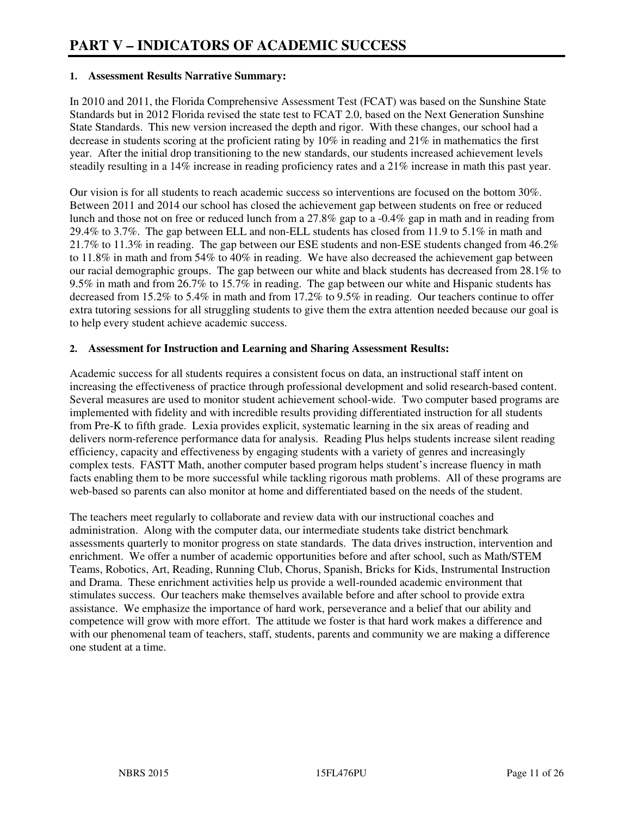#### **1. Assessment Results Narrative Summary:**

In 2010 and 2011, the Florida Comprehensive Assessment Test (FCAT) was based on the Sunshine State Standards but in 2012 Florida revised the state test to FCAT 2.0, based on the Next Generation Sunshine State Standards. This new version increased the depth and rigor. With these changes, our school had a decrease in students scoring at the proficient rating by 10% in reading and 21% in mathematics the first year. After the initial drop transitioning to the new standards, our students increased achievement levels steadily resulting in a 14% increase in reading proficiency rates and a 21% increase in math this past year.

Our vision is for all students to reach academic success so interventions are focused on the bottom 30%. Between 2011 and 2014 our school has closed the achievement gap between students on free or reduced lunch and those not on free or reduced lunch from a 27.8% gap to a -0.4% gap in math and in reading from 29.4% to 3.7%. The gap between ELL and non-ELL students has closed from 11.9 to 5.1% in math and 21.7% to 11.3% in reading. The gap between our ESE students and non-ESE students changed from 46.2% to 11.8% in math and from 54% to 40% in reading. We have also decreased the achievement gap between our racial demographic groups. The gap between our white and black students has decreased from 28.1% to 9.5% in math and from 26.7% to 15.7% in reading. The gap between our white and Hispanic students has decreased from 15.2% to 5.4% in math and from 17.2% to 9.5% in reading. Our teachers continue to offer extra tutoring sessions for all struggling students to give them the extra attention needed because our goal is to help every student achieve academic success.

#### **2. Assessment for Instruction and Learning and Sharing Assessment Results:**

Academic success for all students requires a consistent focus on data, an instructional staff intent on increasing the effectiveness of practice through professional development and solid research-based content. Several measures are used to monitor student achievement school-wide. Two computer based programs are implemented with fidelity and with incredible results providing differentiated instruction for all students from Pre-K to fifth grade. Lexia provides explicit, systematic learning in the six areas of reading and delivers norm-reference performance data for analysis. Reading Plus helps students increase silent reading efficiency, capacity and effectiveness by engaging students with a variety of genres and increasingly complex tests. FASTT Math, another computer based program helps student's increase fluency in math facts enabling them to be more successful while tackling rigorous math problems. All of these programs are web-based so parents can also monitor at home and differentiated based on the needs of the student.

The teachers meet regularly to collaborate and review data with our instructional coaches and administration. Along with the computer data, our intermediate students take district benchmark assessments quarterly to monitor progress on state standards. The data drives instruction, intervention and enrichment. We offer a number of academic opportunities before and after school, such as Math/STEM Teams, Robotics, Art, Reading, Running Club, Chorus, Spanish, Bricks for Kids, Instrumental Instruction and Drama. These enrichment activities help us provide a well-rounded academic environment that stimulates success. Our teachers make themselves available before and after school to provide extra assistance. We emphasize the importance of hard work, perseverance and a belief that our ability and competence will grow with more effort. The attitude we foster is that hard work makes a difference and with our phenomenal team of teachers, staff, students, parents and community we are making a difference one student at a time.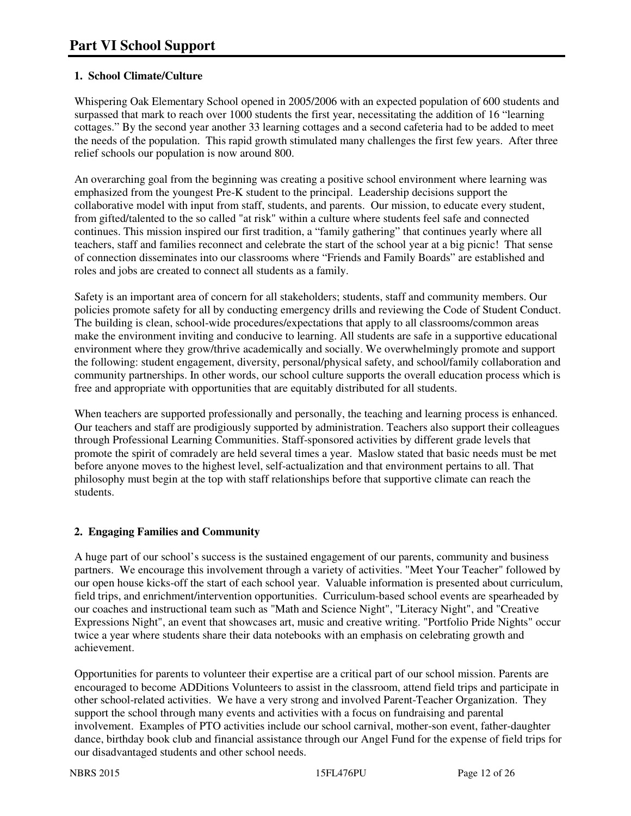## **1. School Climate/Culture**

Whispering Oak Elementary School opened in 2005/2006 with an expected population of 600 students and surpassed that mark to reach over 1000 students the first year, necessitating the addition of 16 "learning cottages." By the second year another 33 learning cottages and a second cafeteria had to be added to meet the needs of the population. This rapid growth stimulated many challenges the first few years. After three relief schools our population is now around 800.

An overarching goal from the beginning was creating a positive school environment where learning was emphasized from the youngest Pre-K student to the principal. Leadership decisions support the collaborative model with input from staff, students, and parents. Our mission, to educate every student, from gifted/talented to the so called "at risk" within a culture where students feel safe and connected continues. This mission inspired our first tradition, a "family gathering" that continues yearly where all teachers, staff and families reconnect and celebrate the start of the school year at a big picnic! That sense of connection disseminates into our classrooms where "Friends and Family Boards" are established and roles and jobs are created to connect all students as a family.

Safety is an important area of concern for all stakeholders; students, staff and community members. Our policies promote safety for all by conducting emergency drills and reviewing the Code of Student Conduct. The building is clean, school-wide procedures/expectations that apply to all classrooms/common areas make the environment inviting and conducive to learning. All students are safe in a supportive educational environment where they grow/thrive academically and socially. We overwhelmingly promote and support the following: student engagement, diversity, personal/physical safety, and school/family collaboration and community partnerships. In other words, our school culture supports the overall education process which is free and appropriate with opportunities that are equitably distributed for all students.

When teachers are supported professionally and personally, the teaching and learning process is enhanced. Our teachers and staff are prodigiously supported by administration. Teachers also support their colleagues through Professional Learning Communities. Staff-sponsored activities by different grade levels that promote the spirit of comradely are held several times a year. Maslow stated that basic needs must be met before anyone moves to the highest level, self-actualization and that environment pertains to all. That philosophy must begin at the top with staff relationships before that supportive climate can reach the students.

## **2. Engaging Families and Community**

A huge part of our school's success is the sustained engagement of our parents, community and business partners. We encourage this involvement through a variety of activities. "Meet Your Teacher" followed by our open house kicks-off the start of each school year. Valuable information is presented about curriculum, field trips, and enrichment/intervention opportunities. Curriculum-based school events are spearheaded by our coaches and instructional team such as "Math and Science Night", "Literacy Night", and "Creative Expressions Night", an event that showcases art, music and creative writing. "Portfolio Pride Nights" occur twice a year where students share their data notebooks with an emphasis on celebrating growth and achievement.

Opportunities for parents to volunteer their expertise are a critical part of our school mission. Parents are encouraged to become ADDitions Volunteers to assist in the classroom, attend field trips and participate in other school-related activities. We have a very strong and involved Parent-Teacher Organization. They support the school through many events and activities with a focus on fundraising and parental involvement. Examples of PTO activities include our school carnival, mother-son event, father-daughter dance, birthday book club and financial assistance through our Angel Fund for the expense of field trips for our disadvantaged students and other school needs.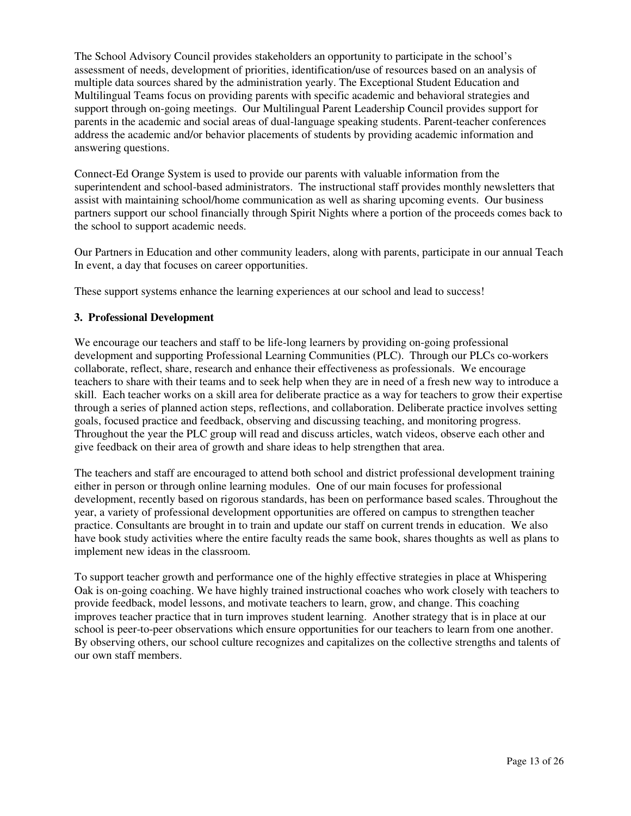The School Advisory Council provides stakeholders an opportunity to participate in the school's assessment of needs, development of priorities, identification/use of resources based on an analysis of multiple data sources shared by the administration yearly. The Exceptional Student Education and Multilingual Teams focus on providing parents with specific academic and behavioral strategies and support through on-going meetings. Our Multilingual Parent Leadership Council provides support for parents in the academic and social areas of dual-language speaking students. Parent-teacher conferences address the academic and/or behavior placements of students by providing academic information and answering questions.

Connect-Ed Orange System is used to provide our parents with valuable information from the superintendent and school-based administrators. The instructional staff provides monthly newsletters that assist with maintaining school/home communication as well as sharing upcoming events. Our business partners support our school financially through Spirit Nights where a portion of the proceeds comes back to the school to support academic needs.

Our Partners in Education and other community leaders, along with parents, participate in our annual Teach In event, a day that focuses on career opportunities.

These support systems enhance the learning experiences at our school and lead to success!

#### **3. Professional Development**

We encourage our teachers and staff to be life-long learners by providing on-going professional development and supporting Professional Learning Communities (PLC). Through our PLCs co-workers collaborate, reflect, share, research and enhance their effectiveness as professionals. We encourage teachers to share with their teams and to seek help when they are in need of a fresh new way to introduce a skill. Each teacher works on a skill area for deliberate practice as a way for teachers to grow their expertise through a series of planned action steps, reflections, and collaboration. Deliberate practice involves setting goals, focused practice and feedback, observing and discussing teaching, and monitoring progress. Throughout the year the PLC group will read and discuss articles, watch videos, observe each other and give feedback on their area of growth and share ideas to help strengthen that area.

The teachers and staff are encouraged to attend both school and district professional development training either in person or through online learning modules. One of our main focuses for professional development, recently based on rigorous standards, has been on performance based scales. Throughout the year, a variety of professional development opportunities are offered on campus to strengthen teacher practice. Consultants are brought in to train and update our staff on current trends in education. We also have book study activities where the entire faculty reads the same book, shares thoughts as well as plans to implement new ideas in the classroom.

To support teacher growth and performance one of the highly effective strategies in place at Whispering Oak is on-going coaching. We have highly trained instructional coaches who work closely with teachers to provide feedback, model lessons, and motivate teachers to learn, grow, and change. This coaching improves teacher practice that in turn improves student learning. Another strategy that is in place at our school is peer-to-peer observations which ensure opportunities for our teachers to learn from one another. By observing others, our school culture recognizes and capitalizes on the collective strengths and talents of our own staff members.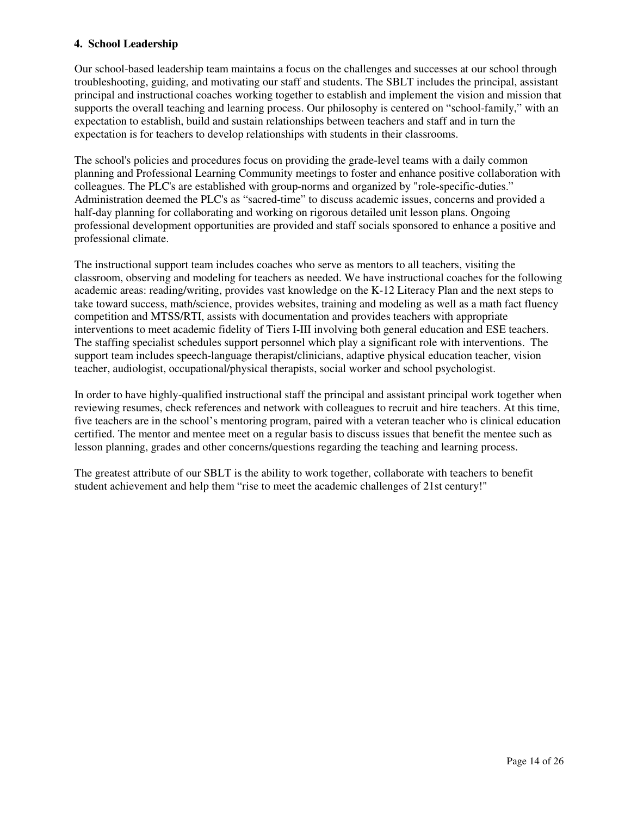#### **4. School Leadership**

Our school-based leadership team maintains a focus on the challenges and successes at our school through troubleshooting, guiding, and motivating our staff and students. The SBLT includes the principal, assistant principal and instructional coaches working together to establish and implement the vision and mission that supports the overall teaching and learning process. Our philosophy is centered on "school-family," with an expectation to establish, build and sustain relationships between teachers and staff and in turn the expectation is for teachers to develop relationships with students in their classrooms.

The school's policies and procedures focus on providing the grade-level teams with a daily common planning and Professional Learning Community meetings to foster and enhance positive collaboration with colleagues. The PLC's are established with group-norms and organized by "role-specific-duties." Administration deemed the PLC's as "sacred-time" to discuss academic issues, concerns and provided a half-day planning for collaborating and working on rigorous detailed unit lesson plans. Ongoing professional development opportunities are provided and staff socials sponsored to enhance a positive and professional climate.

The instructional support team includes coaches who serve as mentors to all teachers, visiting the classroom, observing and modeling for teachers as needed. We have instructional coaches for the following academic areas: reading/writing, provides vast knowledge on the K-12 Literacy Plan and the next steps to take toward success, math/science, provides websites, training and modeling as well as a math fact fluency competition and MTSS/RTI, assists with documentation and provides teachers with appropriate interventions to meet academic fidelity of Tiers I-III involving both general education and ESE teachers. The staffing specialist schedules support personnel which play a significant role with interventions. The support team includes speech-language therapist/clinicians, adaptive physical education teacher, vision teacher, audiologist, occupational/physical therapists, social worker and school psychologist.

In order to have highly-qualified instructional staff the principal and assistant principal work together when reviewing resumes, check references and network with colleagues to recruit and hire teachers. At this time, five teachers are in the school's mentoring program, paired with a veteran teacher who is clinical education certified. The mentor and mentee meet on a regular basis to discuss issues that benefit the mentee such as lesson planning, grades and other concerns/questions regarding the teaching and learning process.

The greatest attribute of our SBLT is the ability to work together, collaborate with teachers to benefit student achievement and help them "rise to meet the academic challenges of 21st century!"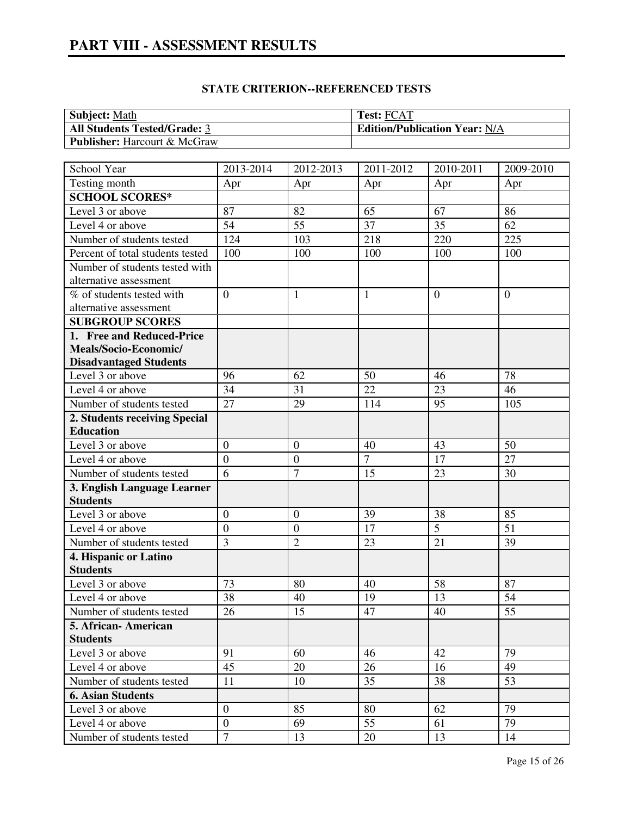# **PART VIII - ASSESSMENT RESULTS**

| <b>Subject: Math</b>                | <b>Test: FCAT</b>                    |
|-------------------------------------|--------------------------------------|
| <b>All Students Tested/Grade: 3</b> | <b>Edition/Publication Year: N/A</b> |
| <b>Publisher:</b> Harcourt & McGraw |                                      |

| School Year                         | 2013-2014        | 2012-2013        | 2011-2012      | 2010-2011      | 2009-2010    |
|-------------------------------------|------------------|------------------|----------------|----------------|--------------|
| Testing month                       | Apr              | Apr              | Apr            | Apr            | Apr          |
| <b>SCHOOL SCORES*</b>               |                  |                  |                |                |              |
| Level 3 or above                    | 87               | 82               | 65             | 67             | 86           |
| Level 4 or above                    | 54               | 55               | 37             | 35             | 62           |
| Number of students tested           | 124              | 103              | 218            | 220            | 225          |
| Percent of total students tested    | 100              | 100              | 100            | 100            | 100          |
| Number of students tested with      |                  |                  |                |                |              |
| alternative assessment              |                  |                  |                |                |              |
| % of students tested with           | $\mathbf{0}$     | $\mathbf{1}$     | 1              | $\overline{0}$ | $\mathbf{0}$ |
| alternative assessment              |                  |                  |                |                |              |
| <b>SUBGROUP SCORES</b>              |                  |                  |                |                |              |
| 1. Free and Reduced-Price           |                  |                  |                |                |              |
| Meals/Socio-Economic/               |                  |                  |                |                |              |
| <b>Disadvantaged Students</b>       |                  |                  |                |                |              |
| Level 3 or above                    | 96               | 62               | 50             | 46             | 78           |
| Level 4 or above                    | 34               | 31               | 22             | 23             | 46           |
| Number of students tested           | 27               | 29               | 114            | 95             | 105          |
| 2. Students receiving Special       |                  |                  |                |                |              |
| <b>Education</b>                    |                  |                  |                |                |              |
| Level 3 or above                    | $\boldsymbol{0}$ | $\mathbf{0}$     | 40             | 43             | 50           |
| Level 4 or above                    | $\overline{0}$   | $\overline{0}$   | $\overline{7}$ | 17             | 27           |
| Number of students tested           | $\overline{6}$   | $\overline{7}$   | 15             | 23             | 30           |
| 3. English Language Learner         |                  |                  |                |                |              |
| <b>Students</b>                     |                  |                  |                |                |              |
| Level 3 or above                    | $\overline{0}$   | $\boldsymbol{0}$ | 39             | 38             | 85           |
| Level 4 or above                    | $\overline{0}$   | $\boldsymbol{0}$ | 17             | $\overline{5}$ | 51           |
| Number of students tested           | 3                | $\overline{2}$   | 23             | 21             | 39           |
| 4. Hispanic or Latino               |                  |                  |                |                |              |
| <b>Students</b>                     |                  |                  |                |                |              |
| Level 3 or above                    | 73               | 80               | 40             | 58             | 87           |
| Level 4 or above                    | 38               | 40               | 19<br>47       | 13             | 54           |
| Number of students tested           | 26               | 15               |                | 40             | 55           |
| 5. African- American                |                  |                  |                |                |              |
| <b>Students</b><br>Level 3 or above | 91               | 60               | 46             | 42             | 79           |
| Level 4 or above                    | 45               | 20               | 26             | 16             | 49           |
|                                     |                  |                  | 35             | 38             | 53           |
| Number of students tested           | 11               | 10               |                |                |              |
| <b>6. Asian Students</b>            |                  |                  |                |                | 79           |
| Level 3 or above                    | $\boldsymbol{0}$ | 85               | 80             | 62             |              |
| Level 4 or above                    | $\boldsymbol{0}$ | 69               | 55             | 61             | 79           |
| Number of students tested           | $\overline{7}$   | 13               | 20             | 13             | 14           |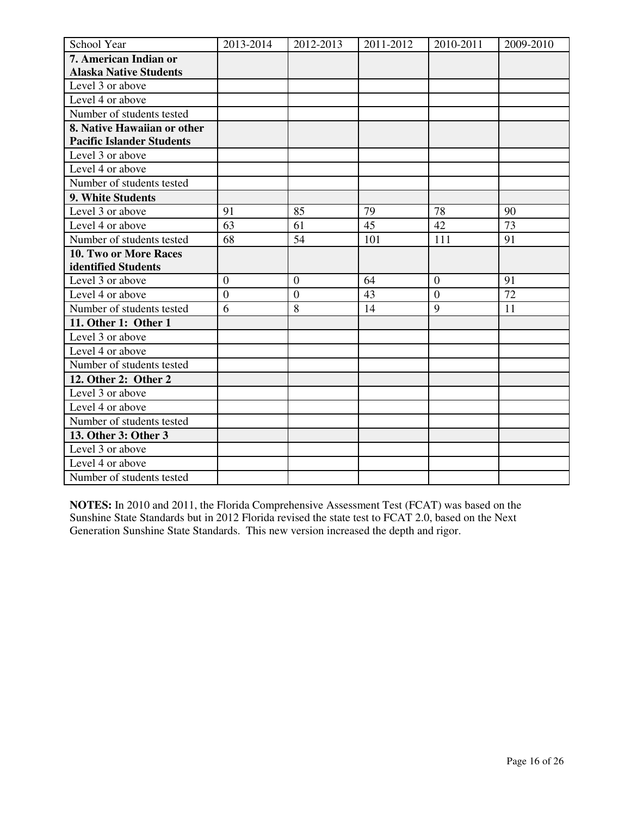| School Year                      | 2013-2014      | 2012-2013        | 2011-2012 | 2010-2011        | 2009-2010 |
|----------------------------------|----------------|------------------|-----------|------------------|-----------|
| 7. American Indian or            |                |                  |           |                  |           |
| <b>Alaska Native Students</b>    |                |                  |           |                  |           |
| Level 3 or above                 |                |                  |           |                  |           |
| Level 4 or above                 |                |                  |           |                  |           |
| Number of students tested        |                |                  |           |                  |           |
| 8. Native Hawaiian or other      |                |                  |           |                  |           |
| <b>Pacific Islander Students</b> |                |                  |           |                  |           |
| Level 3 or above                 |                |                  |           |                  |           |
| Level 4 or above                 |                |                  |           |                  |           |
| Number of students tested        |                |                  |           |                  |           |
| 9. White Students                |                |                  |           |                  |           |
| Level 3 or above                 | 91             | 85               | 79        | 78               | 90        |
| Level 4 or above                 | 63             | 61               | 45        | 42               | 73        |
| Number of students tested        | 68             | 54               | 101       | 111              | 91        |
| <b>10. Two or More Races</b>     |                |                  |           |                  |           |
| identified Students              |                |                  |           |                  |           |
| Level 3 or above                 | $\overline{0}$ | $\overline{0}$   | 64        | $\boldsymbol{0}$ | 91        |
| Level 4 or above                 | $\overline{0}$ | $\boldsymbol{0}$ | 43        | $\overline{0}$   | 72        |
| Number of students tested        | 6              | 8                | 14        | 9                | 11        |
| 11. Other 1: Other 1             |                |                  |           |                  |           |
| Level 3 or above                 |                |                  |           |                  |           |
| Level 4 or above                 |                |                  |           |                  |           |
| Number of students tested        |                |                  |           |                  |           |
| 12. Other 2: Other 2             |                |                  |           |                  |           |
| Level 3 or above                 |                |                  |           |                  |           |
| Level 4 or above                 |                |                  |           |                  |           |
| Number of students tested        |                |                  |           |                  |           |
| 13. Other 3: Other 3             |                |                  |           |                  |           |
| Level 3 or above                 |                |                  |           |                  |           |
| Level 4 or above                 |                |                  |           |                  |           |
| Number of students tested        |                |                  |           |                  |           |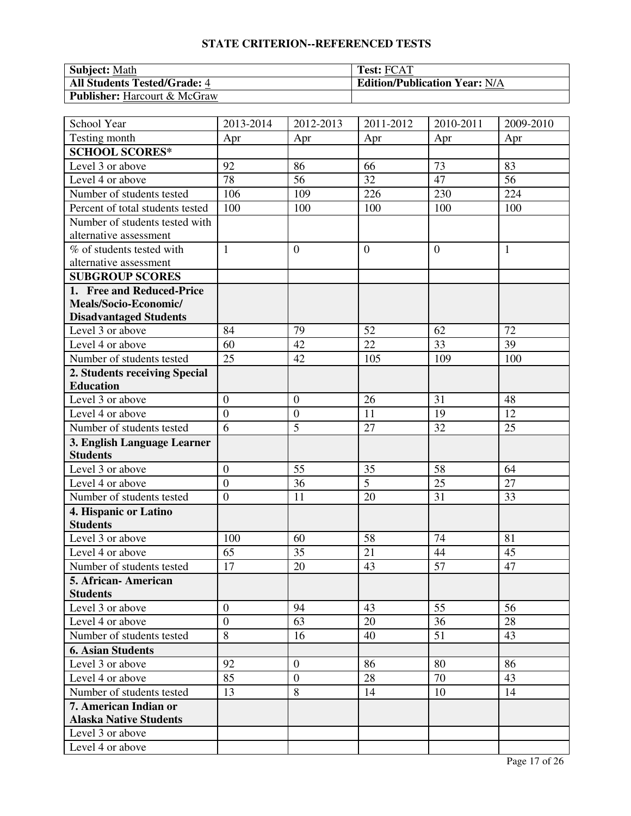| <b>Subject:</b> Math                | <b>Test: FCAT</b>                    |
|-------------------------------------|--------------------------------------|
| <b>All Students Tested/Grade: 4</b> | <b>Edition/Publication Year: N/A</b> |
| <b>Publisher:</b> Harcourt & McGraw |                                      |

| School Year                      | 2013-2014        | 2012-2013        | 2011-2012      | 2010-2011        | 2009-2010    |
|----------------------------------|------------------|------------------|----------------|------------------|--------------|
| Testing month                    | Apr              | Apr              | Apr            | Apr              | Apr          |
| <b>SCHOOL SCORES*</b>            |                  |                  |                |                  |              |
| Level 3 or above                 | 92               | 86               | 66             | 73               | 83           |
| Level 4 or above                 | 78               | 56               | 32             | 47               | 56           |
| Number of students tested        | 106              | 109              | 226            | 230              | 224          |
| Percent of total students tested | 100              | 100              | 100            | 100              | 100          |
| Number of students tested with   |                  |                  |                |                  |              |
| alternative assessment           |                  |                  |                |                  |              |
| % of students tested with        | $\mathbf{1}$     | $\boldsymbol{0}$ | $\overline{0}$ | $\boldsymbol{0}$ | $\mathbf{1}$ |
| alternative assessment           |                  |                  |                |                  |              |
| <b>SUBGROUP SCORES</b>           |                  |                  |                |                  |              |
| 1. Free and Reduced-Price        |                  |                  |                |                  |              |
| Meals/Socio-Economic/            |                  |                  |                |                  |              |
| <b>Disadvantaged Students</b>    |                  |                  |                |                  |              |
| Level 3 or above                 | 84               | 79               | 52             | 62               | 72           |
| Level 4 or above                 | 60               | 42               | 22             | 33               | 39           |
| Number of students tested        | 25               | 42               | 105            | 109              | 100          |
| 2. Students receiving Special    |                  |                  |                |                  |              |
| <b>Education</b>                 |                  |                  |                |                  |              |
| Level 3 or above                 | $\overline{0}$   | $\overline{0}$   | 26             | 31               | 48           |
| Level 4 or above                 | $\boldsymbol{0}$ | $\boldsymbol{0}$ | 11             | 19               | 12           |
| Number of students tested        | 6                | 5                | 27             | 32               | 25           |
| 3. English Language Learner      |                  |                  |                |                  |              |
| <b>Students</b>                  |                  |                  |                |                  |              |
| Level 3 or above                 | $\boldsymbol{0}$ | 55               | 35             | 58               | 64           |
| Level 4 or above                 | $\overline{0}$   | 36               | 5              | 25               | 27           |
| Number of students tested        | $\overline{0}$   | 11               | 20             | 31               | 33           |
| 4. Hispanic or Latino            |                  |                  |                |                  |              |
| <b>Students</b>                  |                  |                  |                |                  |              |
| Level 3 or above                 | 100              | 60               | 58             | 74               | 81           |
| Level 4 or above                 | 65               | 35               | 21             | 44               | 45           |
| Number of students tested        | 17               | 20               | 43             | 57               | 47           |
| 5. African- American             |                  |                  |                |                  |              |
| <b>Students</b>                  |                  |                  |                |                  |              |
| Level 3 or above                 | $\mathbf{0}$     | 94               | 43             | 55               | 56           |
| Level 4 or above                 | $\overline{0}$   | 63               | 20             | 36               | 28           |
| Number of students tested        | $\overline{8}$   | 16               | 40             | 51               | 43           |
| <b>6. Asian Students</b>         |                  |                  |                |                  |              |
| Level 3 or above                 | 92               | $\overline{0}$   | 86             | 80               | 86           |
| Level 4 or above                 | 85               | $\boldsymbol{0}$ | 28             | 70               | 43           |
| Number of students tested        | 13               | 8                | 14             | 10               | 14           |
| 7. American Indian or            |                  |                  |                |                  |              |
| <b>Alaska Native Students</b>    |                  |                  |                |                  |              |
| Level 3 or above                 |                  |                  |                |                  |              |
| Level 4 or above                 |                  |                  |                |                  |              |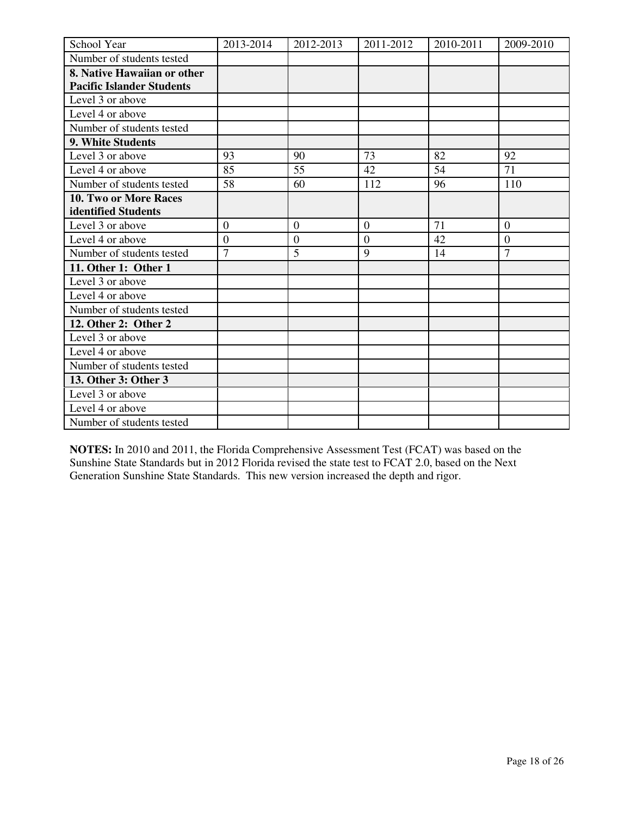| School Year                      | 2013-2014        | 2012-2013      | 2011-2012      | 2010-2011 | 2009-2010        |
|----------------------------------|------------------|----------------|----------------|-----------|------------------|
| Number of students tested        |                  |                |                |           |                  |
| 8. Native Hawaiian or other      |                  |                |                |           |                  |
| <b>Pacific Islander Students</b> |                  |                |                |           |                  |
| Level 3 or above                 |                  |                |                |           |                  |
| Level 4 or above                 |                  |                |                |           |                  |
| Number of students tested        |                  |                |                |           |                  |
| 9. White Students                |                  |                |                |           |                  |
| Level 3 or above                 | 93               | 90             | 73             | 82        | 92               |
| Level 4 or above                 | 85               | 55             | 42             | 54        | 71               |
| Number of students tested        | 58               | 60             | 112            | 96        | 110              |
| <b>10. Two or More Races</b>     |                  |                |                |           |                  |
| identified Students              |                  |                |                |           |                  |
| Level 3 or above                 | $\boldsymbol{0}$ | $\overline{0}$ | $\mathbf{0}$   | 71        | $\boldsymbol{0}$ |
| Level 4 or above                 | $\overline{0}$   | $\overline{0}$ | $\overline{0}$ | 42        | $\overline{0}$   |
| Number of students tested        | $\overline{7}$   | 5              | 9              | 14        | $\overline{7}$   |
| 11. Other 1: Other 1             |                  |                |                |           |                  |
| Level 3 or above                 |                  |                |                |           |                  |
| Level 4 or above                 |                  |                |                |           |                  |
| Number of students tested        |                  |                |                |           |                  |
| 12. Other 2: Other 2             |                  |                |                |           |                  |
| Level 3 or above                 |                  |                |                |           |                  |
| Level 4 or above                 |                  |                |                |           |                  |
| Number of students tested        |                  |                |                |           |                  |
| 13. Other 3: Other 3             |                  |                |                |           |                  |
| Level 3 or above                 |                  |                |                |           |                  |
| Level 4 or above                 |                  |                |                |           |                  |
| Number of students tested        |                  |                |                |           |                  |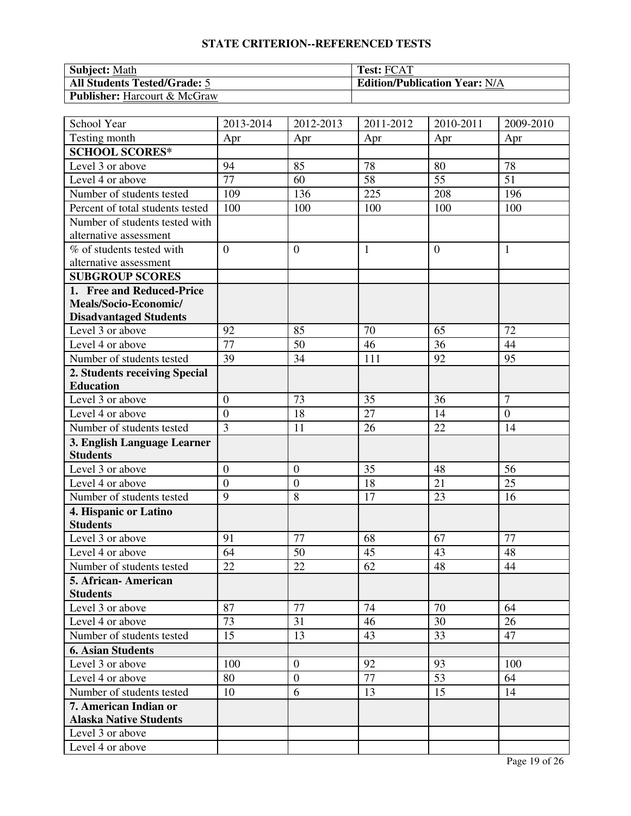| <b>Subject:</b> Math                | <b>Test: FCAT</b>                    |
|-------------------------------------|--------------------------------------|
| <b>All Students Tested/Grade: 5</b> | <b>Edition/Publication Year: N/A</b> |
| <b>Publisher:</b> Harcourt & McGraw |                                      |

| School Year                      | 2013-2014        | 2012-2013        | 2011-2012    | 2010-2011      | 2009-2010        |
|----------------------------------|------------------|------------------|--------------|----------------|------------------|
| Testing month                    | Apr              | Apr              | Apr          | Apr            | Apr              |
| <b>SCHOOL SCORES*</b>            |                  |                  |              |                |                  |
| Level 3 or above                 | 94               | 85               | 78           | 80             | 78               |
| Level 4 or above                 | 77               | 60               | 58           | 55             | 51               |
| Number of students tested        | 109              | 136              | 225          | 208            | 196              |
| Percent of total students tested | 100              | 100              | 100          | 100            | 100              |
| Number of students tested with   |                  |                  |              |                |                  |
| alternative assessment           |                  |                  |              |                |                  |
| % of students tested with        | $\overline{0}$   | $\overline{0}$   | $\mathbf{1}$ | $\overline{0}$ | $\mathbf{1}$     |
| alternative assessment           |                  |                  |              |                |                  |
| <b>SUBGROUP SCORES</b>           |                  |                  |              |                |                  |
| 1. Free and Reduced-Price        |                  |                  |              |                |                  |
| Meals/Socio-Economic/            |                  |                  |              |                |                  |
| <b>Disadvantaged Students</b>    |                  |                  |              |                |                  |
| Level 3 or above                 | 92               | 85               | 70           | 65             | 72               |
| Level 4 or above                 | 77               | 50               | 46           | 36             | 44               |
| Number of students tested        | 39               | 34               | 111          | 92             | 95               |
| 2. Students receiving Special    |                  |                  |              |                |                  |
| <b>Education</b>                 |                  |                  |              |                |                  |
| Level 3 or above                 | $\overline{0}$   | 73               | 35           | 36             | $\overline{7}$   |
| Level 4 or above                 | $\overline{0}$   | 18               | 27           | 14             | $\boldsymbol{0}$ |
| Number of students tested        | $\overline{3}$   | 11               | 26           | 22             | 14               |
| 3. English Language Learner      |                  |                  |              |                |                  |
| <b>Students</b>                  |                  |                  |              |                |                  |
| Level 3 or above                 | $\boldsymbol{0}$ | $\boldsymbol{0}$ | 35           | 48             | 56               |
| Level 4 or above                 | $\overline{0}$   | $\boldsymbol{0}$ | 18           | 21             | 25               |
| Number of students tested        | $\overline{9}$   | 8                | 17           | 23             | 16               |
| 4. Hispanic or Latino            |                  |                  |              |                |                  |
| <b>Students</b>                  |                  |                  |              |                |                  |
| Level 3 or above                 | 91               | 77               | 68           | 67             | 77               |
| Level 4 or above                 | 64               | 50               | 45           | 43             | 48               |
| Number of students tested        | 22               | 22               | 62           | 48             | 44               |
| 5. African- American             |                  |                  |              |                |                  |
| <b>Students</b>                  |                  |                  |              |                |                  |
| Level 3 or above                 | 87               | 77               | 74           | 70             | 64               |
| Level 4 or above                 | 73               | 31               | 46           | 30             | 26               |
| Number of students tested        | 15               | 13               | 43           | 33             | 47               |
| <b>6. Asian Students</b>         |                  |                  |              |                |                  |
| Level 3 or above                 | 100              | $\overline{0}$   | 92           | 93             | 100              |
| Level 4 or above                 | 80               | $\overline{0}$   | 77           | 53             | 64               |
| Number of students tested        | 10               | 6                | 13           | 15             | 14               |
| 7. American Indian or            |                  |                  |              |                |                  |
| <b>Alaska Native Students</b>    |                  |                  |              |                |                  |
| Level 3 or above                 |                  |                  |              |                |                  |
| Level 4 or above                 |                  |                  |              |                |                  |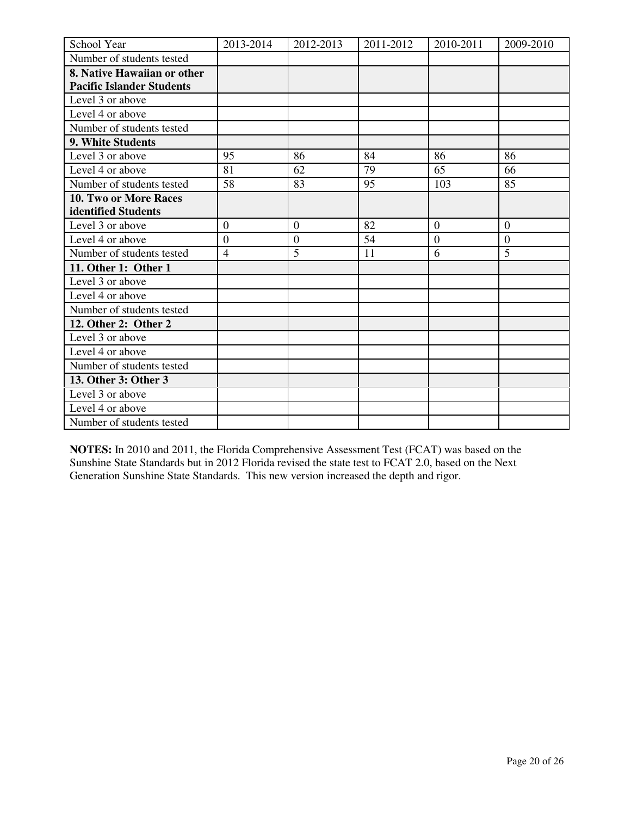| School Year                      | 2013-2014      | 2012-2013      | 2011-2012 | 2010-2011      | 2009-2010      |
|----------------------------------|----------------|----------------|-----------|----------------|----------------|
| Number of students tested        |                |                |           |                |                |
| 8. Native Hawaiian or other      |                |                |           |                |                |
| <b>Pacific Islander Students</b> |                |                |           |                |                |
| Level 3 or above                 |                |                |           |                |                |
| Level 4 or above                 |                |                |           |                |                |
| Number of students tested        |                |                |           |                |                |
| 9. White Students                |                |                |           |                |                |
| Level 3 or above                 | 95             | 86             | 84        | 86             | 86             |
| Level 4 or above                 | 81             | 62             | 79        | 65             | 66             |
| Number of students tested        | 58             | 83             | 95        | 103            | 85             |
| <b>10. Two or More Races</b>     |                |                |           |                |                |
| identified Students              |                |                |           |                |                |
| Level 3 or above                 | $\overline{0}$ | $\theta$       | 82        | $\theta$       | $\overline{0}$ |
| Level 4 or above                 | $\overline{0}$ | $\overline{0}$ | 54        | $\overline{0}$ | $\overline{0}$ |
| Number of students tested        | $\overline{4}$ | 5              | 11        | 6              | 5              |
| 11. Other 1: Other 1             |                |                |           |                |                |
| Level 3 or above                 |                |                |           |                |                |
| Level 4 or above                 |                |                |           |                |                |
| Number of students tested        |                |                |           |                |                |
| 12. Other 2: Other 2             |                |                |           |                |                |
| Level 3 or above                 |                |                |           |                |                |
| Level 4 or above                 |                |                |           |                |                |
| Number of students tested        |                |                |           |                |                |
| 13. Other 3: Other 3             |                |                |           |                |                |
| Level 3 or above                 |                |                |           |                |                |
| Level 4 or above                 |                |                |           |                |                |
| Number of students tested        |                |                |           |                |                |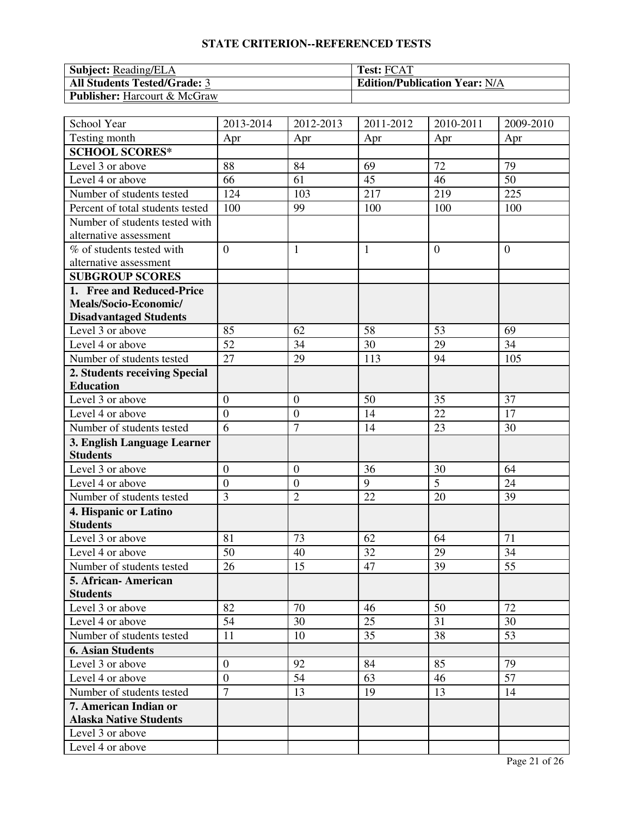| <b>Subject:</b> Reading/ELA            | <b>Test: FCAT</b>                    |
|----------------------------------------|--------------------------------------|
| <b>All Students Tested/Grade: 3</b>    | <b>Edition/Publication Year: N/A</b> |
| <b>Publisher:</b> Harcourt $\&$ McGraw |                                      |

| School Year                          | 2013-2014        | 2012-2013        | 2011-2012    | 2010-2011      | 2009-2010      |
|--------------------------------------|------------------|------------------|--------------|----------------|----------------|
| Testing month                        | Apr              | Apr              | Apr          | Apr            | Apr            |
| <b>SCHOOL SCORES*</b>                |                  |                  |              |                |                |
| Level 3 or above                     | 88               | 84               | 69           | 72             | 79             |
| Level 4 or above                     | 66               | 61               | 45           | 46             | 50             |
| Number of students tested            | 124              | 103              | 217          | 219            | 225            |
| Percent of total students tested     | 100              | 99               | 100          | 100            | 100            |
| Number of students tested with       |                  |                  |              |                |                |
| alternative assessment               |                  |                  |              |                |                |
| % of students tested with            | $\overline{0}$   | $\mathbf{1}$     | $\mathbf{1}$ | $\overline{0}$ | $\overline{0}$ |
| alternative assessment               |                  |                  |              |                |                |
| <b>SUBGROUP SCORES</b>               |                  |                  |              |                |                |
| 1. Free and Reduced-Price            |                  |                  |              |                |                |
| Meals/Socio-Economic/                |                  |                  |              |                |                |
| <b>Disadvantaged Students</b>        |                  |                  |              |                |                |
| Level 3 or above                     | 85               | 62               | 58           | 53             | 69             |
| Level 4 or above                     | 52               | 34               | 30           | 29             | 34             |
| Number of students tested            | 27               | 29               | 113          | 94             | 105            |
| 2. Students receiving Special        |                  |                  |              |                |                |
| <b>Education</b>                     |                  |                  |              |                |                |
| Level 3 or above                     | $\overline{0}$   | $\overline{0}$   | 50           | 35             | 37             |
| Level 4 or above                     | $\overline{0}$   | $\boldsymbol{0}$ | 14           | 22             | 17             |
| Number of students tested            | 6                | $\overline{7}$   | 14           | 23             | 30             |
| 3. English Language Learner          |                  |                  |              |                |                |
| <b>Students</b>                      |                  |                  |              |                |                |
| Level 3 or above                     | $\boldsymbol{0}$ | $\overline{0}$   | 36           | 30             | 64             |
| Level 4 or above                     | $\overline{0}$   | $\boldsymbol{0}$ | 9            | 5              | 24             |
| Number of students tested            | $\overline{3}$   | $\overline{2}$   | 22           | 20             | 39             |
| 4. Hispanic or Latino                |                  |                  |              |                |                |
| <b>Students</b>                      |                  |                  |              |                |                |
| Level 3 or above                     | 81               | 73               | 62           | 64             | 71             |
| Level 4 or above                     | 50               | 40               | 32           | 29             | 34             |
| Number of students tested            | 26               | 15               | 47           | 39             | 55             |
| 5. African- American                 |                  |                  |              |                |                |
| <b>Students</b>                      |                  |                  |              |                |                |
| Level 3 or above<br>Level 4 or above | 82<br>54         | 70<br>30         | 46<br>25     | 50<br>31       | 72<br>30       |
|                                      |                  |                  |              |                |                |
| Number of students tested            | 11               | 10               | 35           | 38             | 53             |
| <b>6. Asian Students</b>             |                  |                  |              |                |                |
| Level 3 or above                     | $\boldsymbol{0}$ | 92               | 84           | 85             | 79             |
| Level 4 or above                     | $\overline{0}$   | 54               | 63           | 46             | 57             |
| Number of students tested            | $\overline{7}$   | 13               | 19           | 13             | 14             |
| 7. American Indian or                |                  |                  |              |                |                |
| <b>Alaska Native Students</b>        |                  |                  |              |                |                |
| Level 3 or above                     |                  |                  |              |                |                |
| Level 4 or above                     |                  |                  |              |                |                |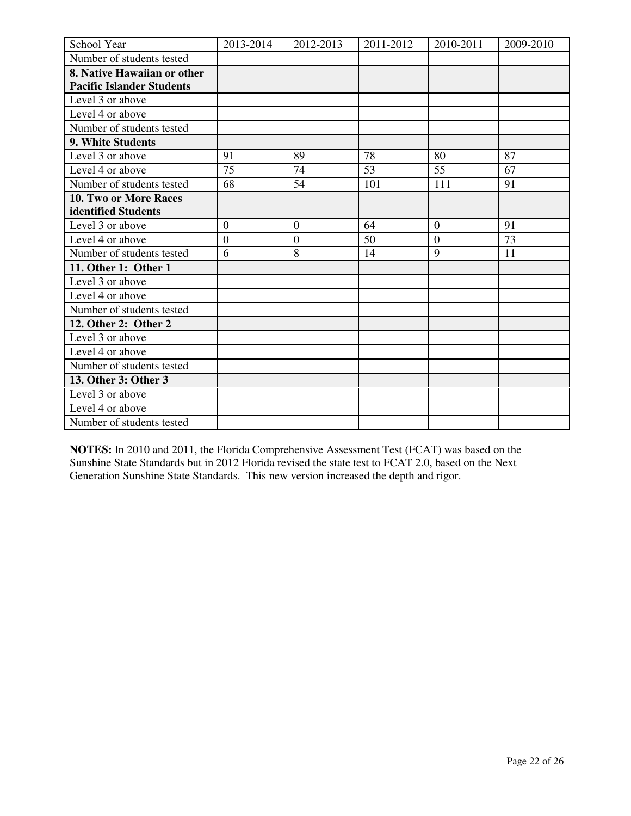| School Year                      | 2013-2014        | 2012-2013        | 2011-2012 | 2010-2011      | 2009-2010 |
|----------------------------------|------------------|------------------|-----------|----------------|-----------|
| Number of students tested        |                  |                  |           |                |           |
| 8. Native Hawaiian or other      |                  |                  |           |                |           |
| <b>Pacific Islander Students</b> |                  |                  |           |                |           |
| Level 3 or above                 |                  |                  |           |                |           |
| Level 4 or above                 |                  |                  |           |                |           |
| Number of students tested        |                  |                  |           |                |           |
| 9. White Students                |                  |                  |           |                |           |
| Level 3 or above                 | 91               | 89               | 78        | 80             | 87        |
| Level 4 or above                 | 75               | 74               | 53        | 55             | 67        |
| Number of students tested        | 68               | 54               | 101       | 111            | 91        |
| 10. Two or More Races            |                  |                  |           |                |           |
| identified Students              |                  |                  |           |                |           |
| Level 3 or above                 | $\boldsymbol{0}$ | $\boldsymbol{0}$ | 64        | $\overline{0}$ | 91        |
| Level 4 or above                 | $\overline{0}$   | $\overline{0}$   | 50        | $\overline{0}$ | 73        |
| Number of students tested        | 6                | 8                | 14        | 9              | 11        |
| 11. Other 1: Other 1             |                  |                  |           |                |           |
| Level 3 or above                 |                  |                  |           |                |           |
| Level 4 or above                 |                  |                  |           |                |           |
| Number of students tested        |                  |                  |           |                |           |
| 12. Other 2: Other 2             |                  |                  |           |                |           |
| Level 3 or above                 |                  |                  |           |                |           |
| Level 4 or above                 |                  |                  |           |                |           |
| Number of students tested        |                  |                  |           |                |           |
| 13. Other 3: Other 3             |                  |                  |           |                |           |
| Level 3 or above                 |                  |                  |           |                |           |
| Level 4 or above                 |                  |                  |           |                |           |
| Number of students tested        |                  |                  |           |                |           |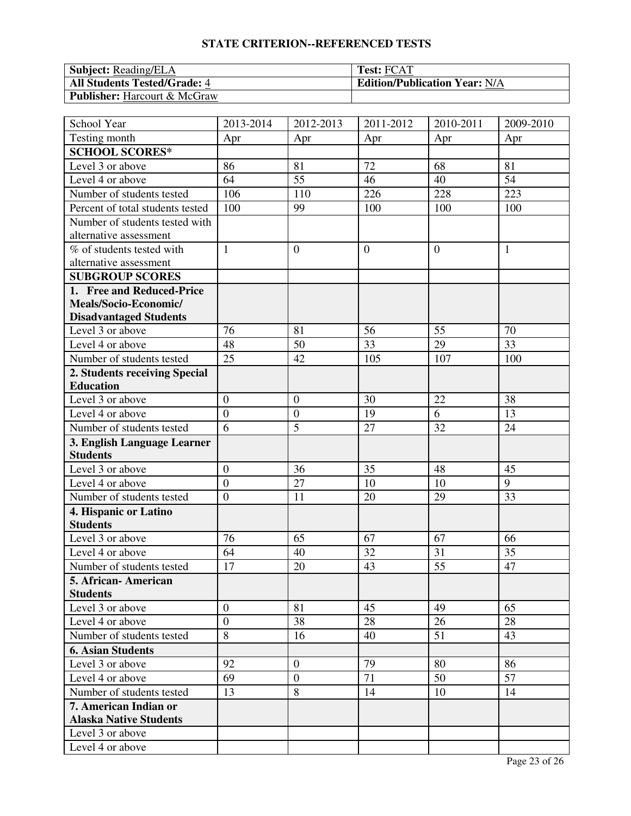| <b>Subject:</b> Reading/ELA         | <b>Test: FCAT</b>                    |
|-------------------------------------|--------------------------------------|
| <b>All Students Tested/Grade: 4</b> | <b>Edition/Publication Year: N/A</b> |
| <b>Publisher:</b> Harcourt & McGraw |                                      |

| School Year                      | 2013-2014        | 2012-2013        | 2011-2012      | 2010-2011      | 2009-2010    |
|----------------------------------|------------------|------------------|----------------|----------------|--------------|
| Testing month                    | Apr              | Apr              | Apr            | Apr            | Apr          |
| <b>SCHOOL SCORES*</b>            |                  |                  |                |                |              |
| Level 3 or above                 | 86               | 81               | 72             | 68             | 81           |
| Level 4 or above                 | 64               | 55               | 46             | 40             | 54           |
| Number of students tested        | 106              | 110              | 226            | 228            | 223          |
| Percent of total students tested | 100              | 99               | 100            | 100            | 100          |
| Number of students tested with   |                  |                  |                |                |              |
| alternative assessment           |                  |                  |                |                |              |
| % of students tested with        | $\mathbf{1}$     | $\overline{0}$   | $\overline{0}$ | $\overline{0}$ | $\mathbf{1}$ |
| alternative assessment           |                  |                  |                |                |              |
| <b>SUBGROUP SCORES</b>           |                  |                  |                |                |              |
| 1. Free and Reduced-Price        |                  |                  |                |                |              |
| Meals/Socio-Economic/            |                  |                  |                |                |              |
| <b>Disadvantaged Students</b>    |                  |                  |                |                |              |
| Level 3 or above                 | 76               | 81               | 56             | 55             | 70           |
| Level 4 or above                 | 48               | 50               | 33             | 29             | 33           |
| Number of students tested        | 25               | 42               | 105            | 107            | 100          |
| 2. Students receiving Special    |                  |                  |                |                |              |
| <b>Education</b>                 |                  |                  |                |                |              |
| Level 3 or above                 | $\overline{0}$   | $\overline{0}$   | 30             | 22             | 38           |
| Level 4 or above                 | $\overline{0}$   | $\boldsymbol{0}$ | 19             | 6              | 13           |
| Number of students tested        | 6                | 5                | 27             | 32             | 24           |
| 3. English Language Learner      |                  |                  |                |                |              |
| <b>Students</b>                  |                  |                  |                |                |              |
| Level 3 or above                 | $\boldsymbol{0}$ | 36               | 35             | 48             | 45           |
| Level 4 or above                 | $\overline{0}$   | 27               | 10             | 10             | 9            |
| Number of students tested        | $\overline{0}$   | 11               | 20             | 29             | 33           |
| 4. Hispanic or Latino            |                  |                  |                |                |              |
| <b>Students</b>                  |                  |                  |                |                |              |
| Level 3 or above                 | 76               | 65               | 67             | 67             | 66           |
| Level 4 or above                 | 64               | 40               | 32             | 31             | 35           |
| Number of students tested        | 17               | 20               | 43             | 55             | 47           |
| 5. African- American             |                  |                  |                |                |              |
| <b>Students</b>                  |                  |                  |                |                |              |
| Level 3 or above                 | $\overline{0}$   | 81               | 45             | 49             | 65           |
| Level 4 or above                 | $\overline{0}$   | 38               | 28             | 26             | 28           |
| Number of students tested        | 8                | 16               | 40             | 51             | 43           |
| <b>6. Asian Students</b>         |                  |                  |                |                |              |
| Level 3 or above                 | 92               | $\overline{0}$   | 79             | 80             | 86           |
| Level 4 or above                 | 69               | $\boldsymbol{0}$ | 71             | 50             | 57           |
| Number of students tested        | 13               | 8                | 14             | 10             | 14           |
| 7. American Indian or            |                  |                  |                |                |              |
| <b>Alaska Native Students</b>    |                  |                  |                |                |              |
| Level 3 or above                 |                  |                  |                |                |              |
| Level 4 or above                 |                  |                  |                |                |              |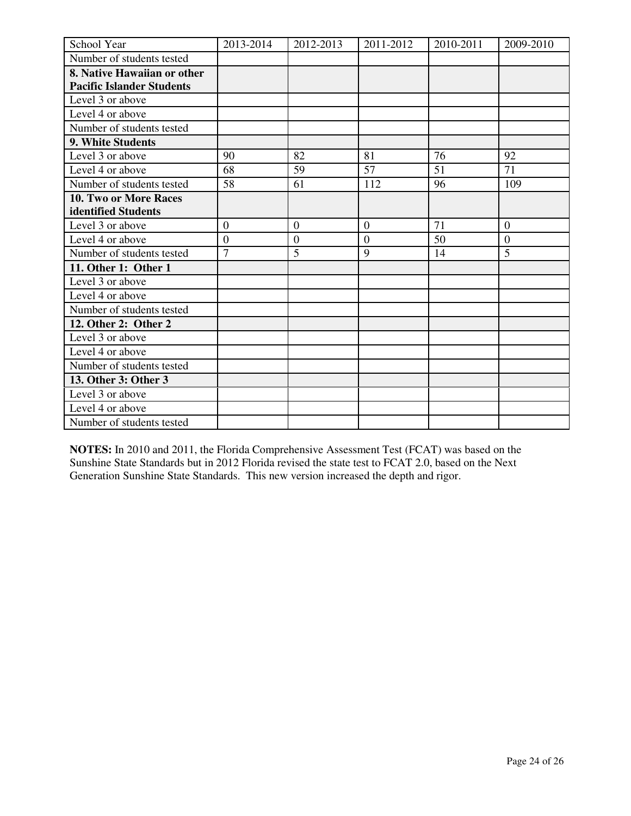| School Year                      | 2013-2014        | 2012-2013        | 2011-2012        | 2010-2011 | 2009-2010        |
|----------------------------------|------------------|------------------|------------------|-----------|------------------|
| Number of students tested        |                  |                  |                  |           |                  |
| 8. Native Hawaiian or other      |                  |                  |                  |           |                  |
| <b>Pacific Islander Students</b> |                  |                  |                  |           |                  |
| Level 3 or above                 |                  |                  |                  |           |                  |
| Level 4 or above                 |                  |                  |                  |           |                  |
| Number of students tested        |                  |                  |                  |           |                  |
| 9. White Students                |                  |                  |                  |           |                  |
| Level 3 or above                 | 90               | 82               | 81               | 76        | 92               |
| Level 4 or above                 | 68               | 59               | 57               | 51        | 71               |
| Number of students tested        | 58               | 61               | 112              | 96        | 109              |
| 10. Two or More Races            |                  |                  |                  |           |                  |
| identified Students              |                  |                  |                  |           |                  |
| Level 3 or above                 | $\boldsymbol{0}$ | $\boldsymbol{0}$ | $\boldsymbol{0}$ | 71        | $\boldsymbol{0}$ |
| Level 4 or above                 | $\overline{0}$   | $\overline{0}$   | $\overline{0}$   | 50        | $\overline{0}$   |
| Number of students tested        | $\overline{7}$   | 5                | 9                | 14        | 5                |
| 11. Other 1: Other 1             |                  |                  |                  |           |                  |
| Level 3 or above                 |                  |                  |                  |           |                  |
| Level 4 or above                 |                  |                  |                  |           |                  |
| Number of students tested        |                  |                  |                  |           |                  |
| 12. Other 2: Other 2             |                  |                  |                  |           |                  |
| Level 3 or above                 |                  |                  |                  |           |                  |
| Level 4 or above                 |                  |                  |                  |           |                  |
| Number of students tested        |                  |                  |                  |           |                  |
| 13. Other 3: Other 3             |                  |                  |                  |           |                  |
| Level 3 or above                 |                  |                  |                  |           |                  |
| Level 4 or above                 |                  |                  |                  |           |                  |
| Number of students tested        |                  |                  |                  |           |                  |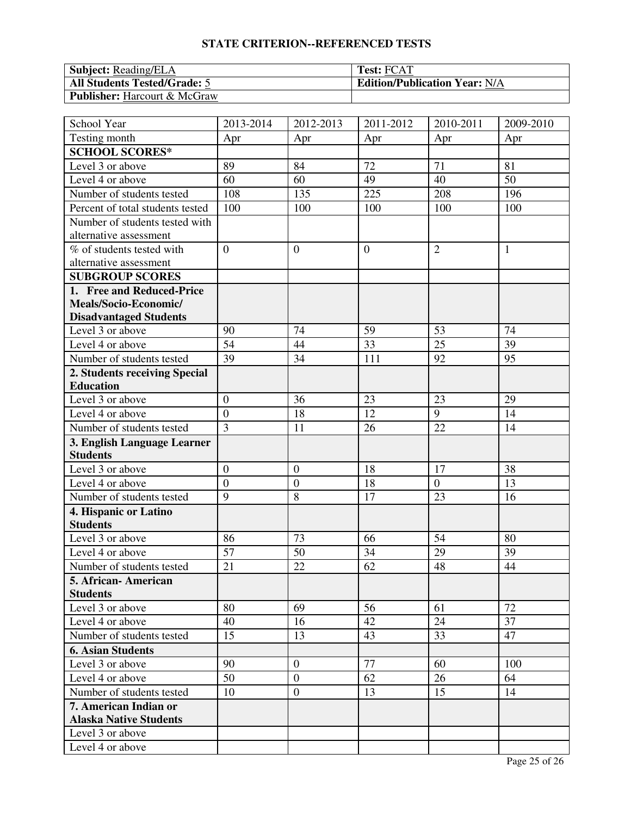| <b>Subject:</b> Reading/ELA         | <b>Test: FCAT</b>                    |
|-------------------------------------|--------------------------------------|
| <b>All Students Tested/Grade: 5</b> | <b>Edition/Publication Year: N/A</b> |
| <b>Publisher:</b> Harcourt & McGraw |                                      |

| School Year                      | 2013-2014      | 2012-2013        | 2011-2012      | 2010-2011      | 2009-2010    |
|----------------------------------|----------------|------------------|----------------|----------------|--------------|
| Testing month                    | Apr            | Apr              | Apr            | Apr            | Apr          |
| <b>SCHOOL SCORES*</b>            |                |                  |                |                |              |
| Level 3 or above                 | 89             | 84               | 72             | 71             | 81           |
| Level 4 or above                 | 60             | 60               | 49             | 40             | 50           |
| Number of students tested        | 108            | 135              | 225            | 208            | 196          |
| Percent of total students tested | 100            | 100              | 100            | 100            | 100          |
| Number of students tested with   |                |                  |                |                |              |
| alternative assessment           |                |                  |                |                |              |
| % of students tested with        | $\overline{0}$ | $\boldsymbol{0}$ | $\overline{0}$ | $\overline{2}$ | $\mathbf{1}$ |
| alternative assessment           |                |                  |                |                |              |
| <b>SUBGROUP SCORES</b>           |                |                  |                |                |              |
| 1. Free and Reduced-Price        |                |                  |                |                |              |
| Meals/Socio-Economic/            |                |                  |                |                |              |
| <b>Disadvantaged Students</b>    |                |                  |                |                |              |
| Level 3 or above                 | 90             | 74               | 59             | 53             | 74           |
| Level 4 or above                 | 54             | 44               | 33             | 25             | 39           |
| Number of students tested        | 39             | 34               | 111            | 92             | 95           |
| 2. Students receiving Special    |                |                  |                |                |              |
| <b>Education</b>                 |                |                  |                |                |              |
| Level 3 or above                 | $\overline{0}$ | 36               | 23             | 23             | 29           |
| Level 4 or above                 | $\overline{0}$ | 18               | 12             | 9              | 14           |
| Number of students tested        | $\overline{3}$ | 11               | 26             | 22             | 14           |
| 3. English Language Learner      |                |                  |                |                |              |
| <b>Students</b>                  |                |                  |                |                |              |
| Level 3 or above                 | $\overline{0}$ | $\mathbf{0}$     | 18             | 17             | 38           |
| Level 4 or above                 | $\overline{0}$ | $\boldsymbol{0}$ | 18             | $\overline{0}$ | 13           |
| Number of students tested        | 9              | 8                | 17             | 23             | 16           |
| 4. Hispanic or Latino            |                |                  |                |                |              |
| <b>Students</b>                  |                |                  |                |                |              |
| Level 3 or above                 | 86             | 73               | 66             | 54             | 80           |
| Level 4 or above                 | 57             | 50               | 34             | 29             | 39           |
| Number of students tested        | 21             | 22               | 62             | 48             | 44           |
| 5. African-American              |                |                  |                |                |              |
| <b>Students</b>                  |                |                  |                |                |              |
| Level 3 or above                 | 80             | 69               | 56             | 61             | 72           |
| Level 4 or above                 | 40             | 16               | 42             | 24             | 37           |
| Number of students tested        | 15             | 13               | 43             | 33             | 47           |
| <b>6. Asian Students</b>         |                |                  |                |                |              |
| Level 3 or above                 | 90             | $\boldsymbol{0}$ | 77             | 60             | 100          |
| Level 4 or above                 | 50             | $\boldsymbol{0}$ | 62             | 26             | 64           |
| Number of students tested        | 10             | $\mathbf{0}$     | 13             | 15             | 14           |
| 7. American Indian or            |                |                  |                |                |              |
| <b>Alaska Native Students</b>    |                |                  |                |                |              |
| Level 3 or above                 |                |                  |                |                |              |
| Level 4 or above                 |                |                  |                |                |              |